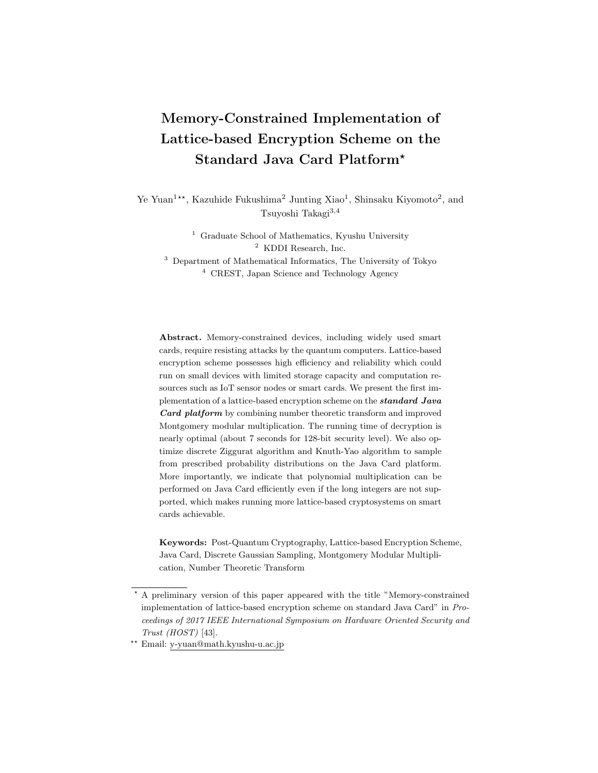# **Memory-Constrained Implementation of Lattice-based Encryption Scheme on the Standard Java Card Platform***<sup>⋆</sup>*

Ye Yuan<sup>1\*\*</sup>, Kazuhide Fukushima<sup>2</sup> Junting Xiao<sup>1</sup>, Shinsaku Kiyomoto<sup>2</sup>, and Tsuyoshi Takagi3*,*<sup>4</sup>

> <sup>1</sup> Graduate School of Mathematics, Kyushu University <sup>2</sup> KDDI Research, Inc.

<sup>3</sup> Department of Mathematical Informatics, The University of Tokyo <sup>4</sup> CREST, Japan Science and Technology Agency

**Abstract.** Memory-constrained devices, including widely used smart cards, require resisting attacks by the quantum computers. Lattice-based encryption scheme possesses high efficiency and reliability which could run on small devices with limited storage capacity and computation resources such as IoT sensor nodes or smart cards. We present the first implementation of a lattice-based encryption scheme on the *standard Java Card platform* by combining number theoretic transform and improved Montgomery modular multiplication. The running time of decryption is nearly optimal (about 7 seconds for 128-bit security level). We also optimize discrete Ziggurat algorithm and Knuth-Yao algorithm to sample from prescribed probability distributions on the Java Card platform. More importantly, we indicate that polynomial multiplication can be performed on Java Card efficiently even if the long integers are not supported, which makes running more lattice-based cryptosystems on smart cards achievable.

**Keywords:** Post-Quantum Cryptography, Lattice-based Encryption Scheme, Java Card, Discrete Gaussian Sampling, Montgomery Modular Multiplication, Number Theoretic Transform

*<sup>⋆</sup>* A preliminary version of this paper appeared with the title "Memory-constrained implementation of lattice-based encryption scheme on standard Java Card" in *Proceedings of 2017 IEEE International Symposium on Hardware Oriented Security and Trust (HOST)* [43].

*<sup>⋆⋆</sup>* Email: y-yuan@math.kyushu-u.ac.jp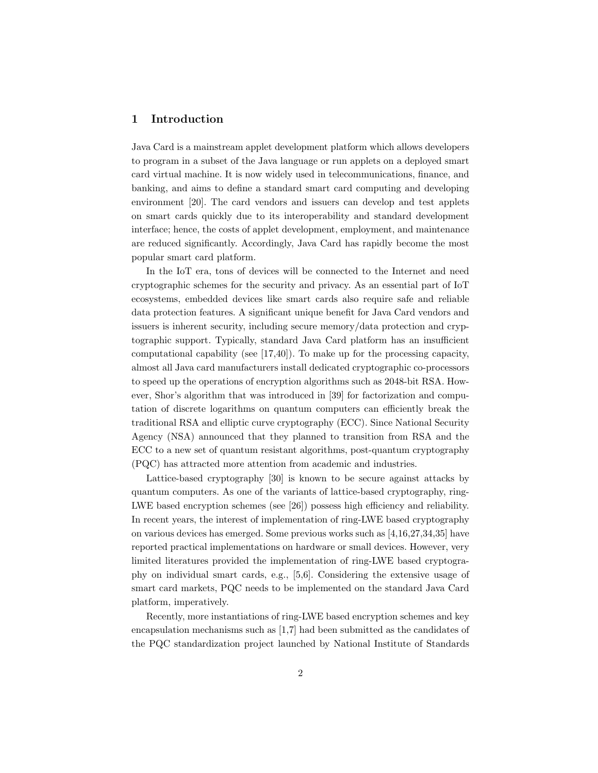# **1 Introduction**

Java Card is a mainstream applet development platform which allows developers to program in a subset of the Java language or run applets on a deployed smart card virtual machine. It is now widely used in telecommunications, finance, and banking, and aims to define a standard smart card computing and developing environment [20]. The card vendors and issuers can develop and test applets on smart cards quickly due to its interoperability and standard development interface; hence, the costs of applet development, employment, and maintenance are reduced significantly. Accordingly, Java Card has rapidly become the most popular smart card platform.

In the IoT era, tons of devices will be connected to the Internet and need cryptographic schemes for the security and privacy. As an essential part of IoT ecosystems, embedded devices like smart cards also require safe and reliable data protection features. A significant unique benefit for Java Card vendors and issuers is inherent security, including secure memory/data protection and cryptographic support. Typically, standard Java Card platform has an insufficient computational capability (see [17,40]). To make up for the processing capacity, almost all Java card manufacturers install dedicated cryptographic co-processors to speed up the operations of encryption algorithms such as 2048-bit RSA. However, Shor's algorithm that was introduced in [39] for factorization and computation of discrete logarithms on quantum computers can efficiently break the traditional RSA and elliptic curve cryptography (ECC). Since National Security Agency (NSA) announced that they planned to transition from RSA and the ECC to a new set of quantum resistant algorithms, post-quantum cryptography (PQC) has attracted more attention from academic and industries.

Lattice-based cryptography [30] is known to be secure against attacks by quantum computers. As one of the variants of lattice-based cryptography, ring-LWE based encryption schemes (see [26]) possess high efficiency and reliability. In recent years, the interest of implementation of ring-LWE based cryptography on various devices has emerged. Some previous works such as [4,16,27,34,35] have reported practical implementations on hardware or small devices. However, very limited literatures provided the implementation of ring-LWE based cryptography on individual smart cards, e.g., [5,6]. Considering the extensive usage of smart card markets, PQC needs to be implemented on the standard Java Card platform, imperatively.

Recently, more instantiations of ring-LWE based encryption schemes and key encapsulation mechanisms such as [1,7] had been submitted as the candidates of the PQC standardization project launched by National Institute of Standards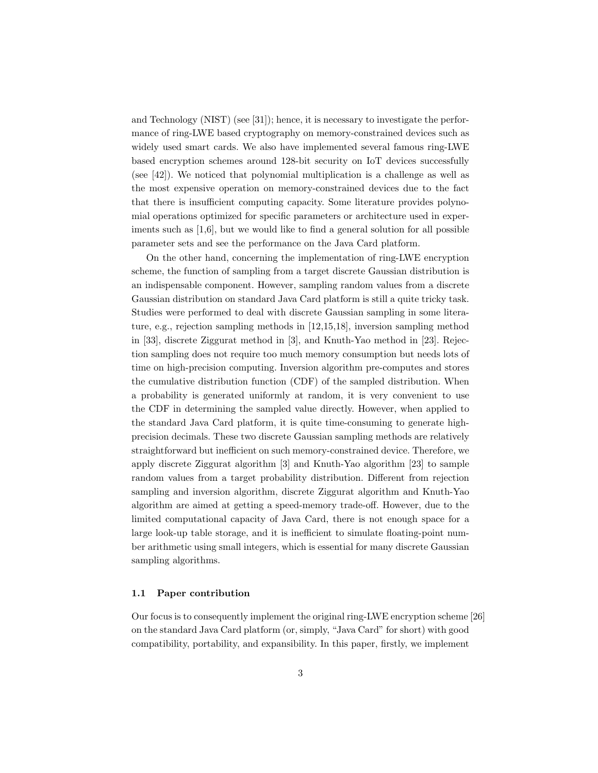and Technology (NIST) (see [31]); hence, it is necessary to investigate the performance of ring-LWE based cryptography on memory-constrained devices such as widely used smart cards. We also have implemented several famous ring-LWE based encryption schemes around 128-bit security on IoT devices successfully (see [42]). We noticed that polynomial multiplication is a challenge as well as the most expensive operation on memory-constrained devices due to the fact that there is insufficient computing capacity. Some literature provides polynomial operations optimized for specific parameters or architecture used in experiments such as [1,6], but we would like to find a general solution for all possible parameter sets and see the performance on the Java Card platform.

On the other hand, concerning the implementation of ring-LWE encryption scheme, the function of sampling from a target discrete Gaussian distribution is an indispensable component. However, sampling random values from a discrete Gaussian distribution on standard Java Card platform is still a quite tricky task. Studies were performed to deal with discrete Gaussian sampling in some literature, e.g., rejection sampling methods in [12,15,18], inversion sampling method in [33], discrete Ziggurat method in [3], and Knuth-Yao method in [23]. Rejection sampling does not require too much memory consumption but needs lots of time on high-precision computing. Inversion algorithm pre-computes and stores the cumulative distribution function (CDF) of the sampled distribution. When a probability is generated uniformly at random, it is very convenient to use the CDF in determining the sampled value directly. However, when applied to the standard Java Card platform, it is quite time-consuming to generate highprecision decimals. These two discrete Gaussian sampling methods are relatively straightforward but inefficient on such memory-constrained device. Therefore, we apply discrete Ziggurat algorithm [3] and Knuth-Yao algorithm [23] to sample random values from a target probability distribution. Different from rejection sampling and inversion algorithm, discrete Ziggurat algorithm and Knuth-Yao algorithm are aimed at getting a speed-memory trade-off. However, due to the limited computational capacity of Java Card, there is not enough space for a large look-up table storage, and it is inefficient to simulate floating-point number arithmetic using small integers, which is essential for many discrete Gaussian sampling algorithms.

### **1.1 Paper contribution**

Our focus is to consequently implement the original ring-LWE encryption scheme [26] on the standard Java Card platform (or, simply, "Java Card" for short) with good compatibility, portability, and expansibility. In this paper, firstly, we implement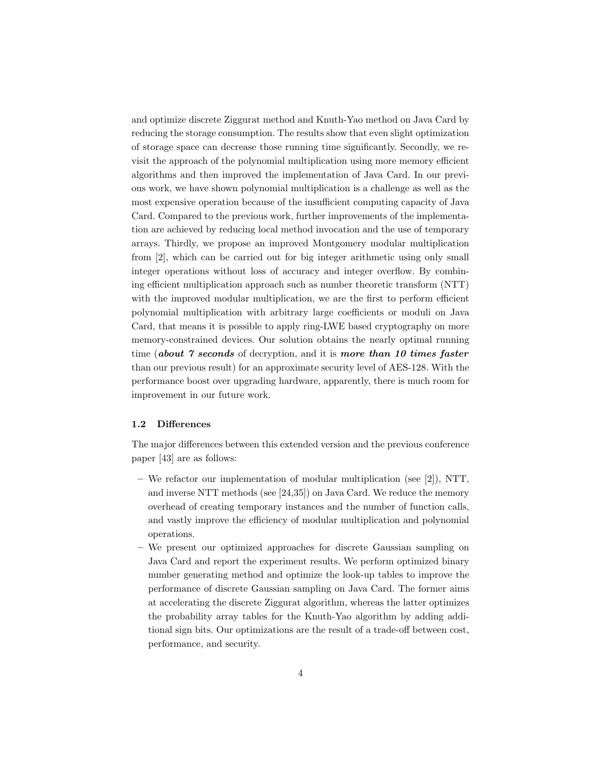and optimize discrete Ziggurat method and Knuth-Yao method on Java Card by reducing the storage consumption. The results show that even slight optimization of storage space can decrease those running time significantly. Secondly, we revisit the approach of the polynomial multiplication using more memory efficient algorithms and then improved the implementation of Java Card. In our previous work, we have shown polynomial multiplication is a challenge as well as the most expensive operation because of the insufficient computing capacity of Java Card. Compared to the previous work, further improvements of the implementation are achieved by reducing local method invocation and the use of temporary arrays. Thirdly, we propose an improved Montgomery modular multiplication from [2], which can be carried out for big integer arithmetic using only small integer operations without loss of accuracy and integer overflow. By combining efficient multiplication approach such as number theoretic transform (NTT) with the improved modular multiplication, we are the first to perform efficient polynomial multiplication with arbitrary large coefficients or moduli on Java Card, that means it is possible to apply ring-LWE based cryptography on more memory-constrained devices. Our solution obtains the nearly optimal running time (*about 7 seconds* of decryption, and it is *more than 10 times faster* than our previous result) for an approximate security level of AES-128. With the performance boost over upgrading hardware, apparently, there is much room for improvement in our future work.

### **1.2 Differences**

The major differences between this extended version and the previous conference paper [43] are as follows:

- **–** We refactor our implementation of modular multiplication (see [2]), NTT, and inverse NTT methods (see [24,35]) on Java Card. We reduce the memory overhead of creating temporary instances and the number of function calls, and vastly improve the efficiency of modular multiplication and polynomial operations.
- **–** We present our optimized approaches for discrete Gaussian sampling on Java Card and report the experiment results. We perform optimized binary number generating method and optimize the look-up tables to improve the performance of discrete Gaussian sampling on Java Card. The former aims at accelerating the discrete Ziggurat algorithm, whereas the latter optimizes the probability array tables for the Knuth-Yao algorithm by adding additional sign bits. Our optimizations are the result of a trade-off between cost, performance, and security.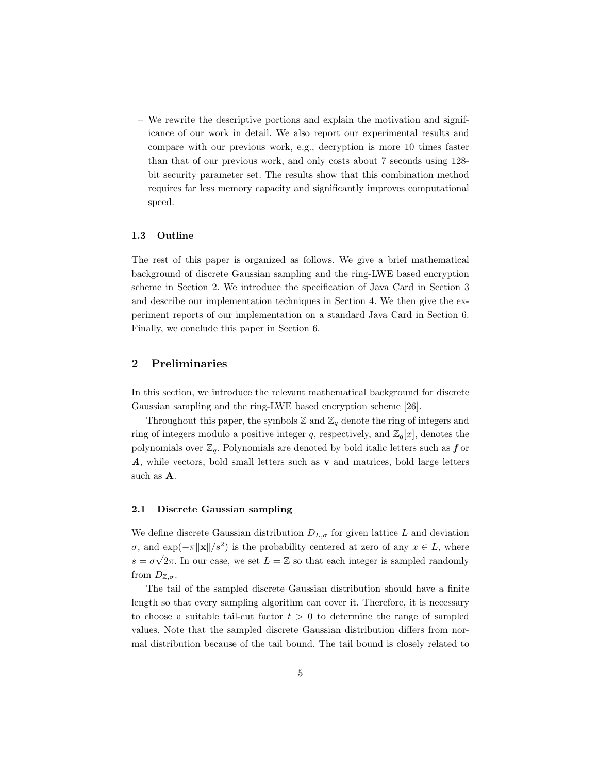**–** We rewrite the descriptive portions and explain the motivation and significance of our work in detail. We also report our experimental results and compare with our previous work, e.g., decryption is more 10 times faster than that of our previous work, and only costs about 7 seconds using 128 bit security parameter set. The results show that this combination method requires far less memory capacity and significantly improves computational speed.

### **1.3 Outline**

The rest of this paper is organized as follows. We give a brief mathematical background of discrete Gaussian sampling and the ring-LWE based encryption scheme in Section 2. We introduce the specification of Java Card in Section 3 and describe our implementation techniques in Section 4. We then give the experiment reports of our implementation on a standard Java Card in Section 6. Finally, we conclude this paper in Section 6.

# **2 Preliminaries**

In this section, we introduce the relevant mathematical background for discrete Gaussian sampling and the ring-LWE based encryption scheme [26].

Throughout this paper, the symbols  $\mathbb{Z}$  and  $\mathbb{Z}_q$  denote the ring of integers and ring of integers modulo a positive integer q, respectively, and  $\mathbb{Z}_q[x]$ , denotes the polynomials over  $\mathbb{Z}_q$ . Polynomials are denoted by bold italic letters such as **f** or *A*, while vectors, bold small letters such as **v** and matrices, bold large letters such as **A**.

### **2.1 Discrete Gaussian sampling**

We define discrete Gaussian distribution  $D_{L,\sigma}$  for given lattice *L* and deviation *σ*, and  $\exp(-\pi ||\mathbf{x}||/s^2)$  is the probability centered at zero of any  $x \in L$ , where  $s = \sigma \sqrt{2\pi}$ . In our case, we set  $L = \mathbb{Z}$  so that each integer is sampled randomly from  $D_{\mathbb{Z},\sigma}$ .

The tail of the sampled discrete Gaussian distribution should have a finite length so that every sampling algorithm can cover it. Therefore, it is necessary to choose a suitable tail-cut factor  $t > 0$  to determine the range of sampled values. Note that the sampled discrete Gaussian distribution differs from normal distribution because of the tail bound. The tail bound is closely related to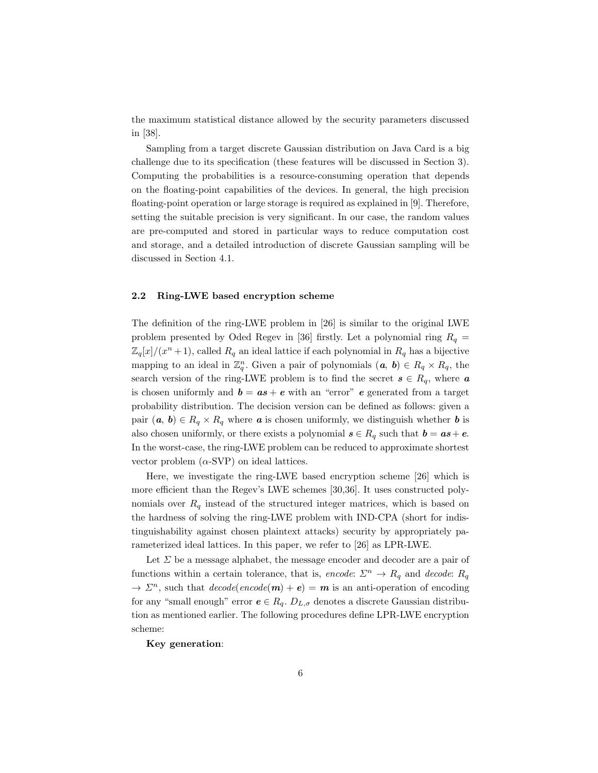the maximum statistical distance allowed by the security parameters discussed in [38].

Sampling from a target discrete Gaussian distribution on Java Card is a big challenge due to its specification (these features will be discussed in Section 3). Computing the probabilities is a resource-consuming operation that depends on the floating-point capabilities of the devices. In general, the high precision floating-point operation or large storage is required as explained in [9]. Therefore, setting the suitable precision is very significant. In our case, the random values are pre-computed and stored in particular ways to reduce computation cost and storage, and a detailed introduction of discrete Gaussian sampling will be discussed in Section 4.1.

### **2.2 Ring-LWE based encryption scheme**

The definition of the ring-LWE problem in [26] is similar to the original LWE problem presented by Oded Regev in [36] firstly. Let a polynomial ring  $R_q$  =  $\mathbb{Z}_q[x]/(x^n+1)$ , called  $R_q$  an ideal lattice if each polynomial in  $R_q$  has a bijective mapping to an ideal in  $\mathbb{Z}_q^n$ . Given a pair of polynomials  $(a, b) \in R_q \times R_q$ , the search version of the ring-LWE problem is to find the secret  $s \in R_q$ , where  $a$ is chosen uniformly and  $\mathbf{b} = \mathbf{a}\mathbf{s} + \mathbf{e}$  with an "error" *e* generated from a target probability distribution. The decision version can be defined as follows: given a pair  $(a, b) \in R_q \times R_q$  where *a* is chosen uniformly, we distinguish whether *b* is also chosen uniformly, or there exists a polynomial  $s \in R_q$  such that  $b = as + e$ . In the worst-case, the ring-LWE problem can be reduced to approximate shortest vector problem  $(\alpha$ -SVP) on ideal lattices.

Here, we investigate the ring-LWE based encryption scheme [26] which is more efficient than the Regev's LWE schemes [30,36]. It uses constructed polynomials over  $R_q$  instead of the structured integer matrices, which is based on the hardness of solving the ring-LWE problem with IND-CPA (short for indistinguishability against chosen plaintext attacks) security by appropriately parameterized ideal lattices. In this paper, we refer to [26] as LPR-LWE.

Let *Σ* be a message alphabet, the message encoder and decoder are a pair of functions within a certain tolerance, that is, *encode*:  $\Sigma^n \to R_q$  and *decode*:  $R_q$  $\rightarrow \Sigma^n$ , such that  $decode(encode(m) + e) = m$  is an anti-operation of encoding for any "small enough" error  $e \in R_q$ .  $D_{L,\sigma}$  denotes a discrete Gaussian distribution as mentioned earlier. The following procedures define LPR-LWE encryption scheme:

**Key generation**: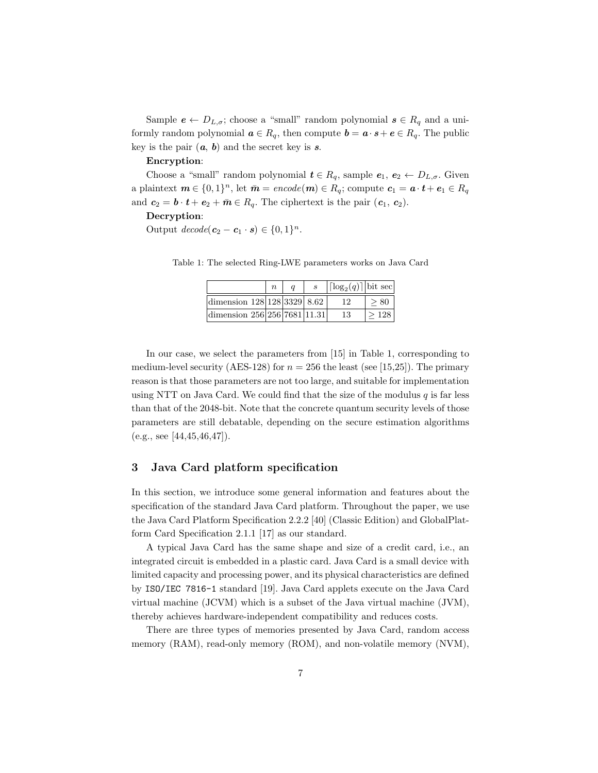Sample  $e \leftarrow D_{L,\sigma}$ ; choose a "small" random polynomial  $s \in R_q$  and a uniformly random polynomial  $a \in R_q$ , then compute  $b = a \cdot s + e \in R_q$ . The public key is the pair  $(a, b)$  and the secret key is  $s$ .

### **Encryption**:

Choose a "small" random polynomial  $t \in R_q$ , sample  $e_1, e_2 \leftarrow D_{L,\sigma}$ . Given a plaintext  $m \in \{0, 1\}^n$ , let  $\bar{m} = encode(m) \in R_q$ ; compute  $c_1 = a \cdot t + e_1 \in R_q$ and  $c_2 = b \cdot t + e_2 + \overline{m} \in R_q$ . The ciphertext is the pair  $(c_1, c_2)$ .

### **Decryption**:

Output  $decode(c_2 - c_1 \cdot s) \in \{0, 1\}^n$ .

|                                 | $\eta$ |  | $\left  \lceil \log_2(q) \rceil \right $ bit sec |      |
|---------------------------------|--------|--|--------------------------------------------------|------|
| dimension $128 128 3329 8.62$   |        |  | 12                                               | > 80 |
| dimension $256 256 7681 11.31 $ |        |  | 13                                               | >128 |

Table 1: The selected Ring-LWE parameters works on Java Card

In our case, we select the parameters from [15] in Table 1, corresponding to medium-level security (AES-128) for  $n = 256$  the least (see [15,25]). The primary reason is that those parameters are not too large, and suitable for implementation using NTT on Java Card. We could find that the size of the modulus  $q$  is far less than that of the 2048-bit. Note that the concrete quantum security levels of those parameters are still debatable, depending on the secure estimation algorithms  $(e.g., see [44,45,46,47]).$ 

# **3 Java Card platform specification**

In this section, we introduce some general information and features about the specification of the standard Java Card platform. Throughout the paper, we use the Java Card Platform Specification 2.2.2 [40] (Classic Edition) and GlobalPlatform Card Specification 2.1.1 [17] as our standard.

A typical Java Card has the same shape and size of a credit card, i.e., an integrated circuit is embedded in a plastic card. Java Card is a small device with limited capacity and processing power, and its physical characteristics are defined by ISO/IEC 7816-1 standard [19]. Java Card applets execute on the Java Card virtual machine (JCVM) which is a subset of the Java virtual machine (JVM), thereby achieves hardware-independent compatibility and reduces costs.

There are three types of memories presented by Java Card, random access memory (RAM), read-only memory (ROM), and non-volatile memory (NVM),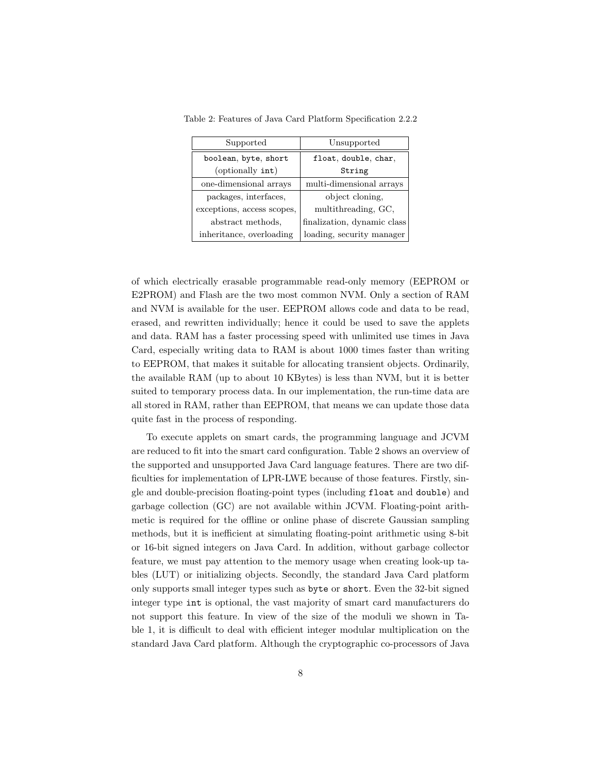Table 2: Features of Java Card Platform Specification 2.2.2

| Supported                  | Unsupported                 |
|----------------------------|-----------------------------|
| boolean, byte, short       | float, double, char,        |
| (optionally int)           | String                      |
| one-dimensional arrays     | multi-dimensional arrays    |
| packages, interfaces,      | object cloning,             |
| exceptions, access scopes, | multithreading, GC,         |
| abstract methods,          | finalization, dynamic class |
| inheritance, overloading   | loading, security manager   |

of which electrically erasable programmable read-only memory (EEPROM or E2PROM) and Flash are the two most common NVM. Only a section of RAM and NVM is available for the user. EEPROM allows code and data to be read, erased, and rewritten individually; hence it could be used to save the applets and data. RAM has a faster processing speed with unlimited use times in Java Card, especially writing data to RAM is about 1000 times faster than writing to EEPROM, that makes it suitable for allocating transient objects. Ordinarily, the available RAM (up to about 10 KBytes) is less than NVM, but it is better suited to temporary process data. In our implementation, the run-time data are all stored in RAM, rather than EEPROM, that means we can update those data quite fast in the process of responding.

To execute applets on smart cards, the programming language and JCVM are reduced to fit into the smart card configuration. Table 2 shows an overview of the supported and unsupported Java Card language features. There are two difficulties for implementation of LPR-LWE because of those features. Firstly, single and double-precision floating-point types (including float and double) and garbage collection (GC) are not available within JCVM. Floating-point arithmetic is required for the offline or online phase of discrete Gaussian sampling methods, but it is inefficient at simulating floating-point arithmetic using 8-bit or 16-bit signed integers on Java Card. In addition, without garbage collector feature, we must pay attention to the memory usage when creating look-up tables (LUT) or initializing objects. Secondly, the standard Java Card platform only supports small integer types such as byte or short. Even the 32-bit signed integer type int is optional, the vast majority of smart card manufacturers do not support this feature. In view of the size of the moduli we shown in Table 1, it is difficult to deal with efficient integer modular multiplication on the standard Java Card platform. Although the cryptographic co-processors of Java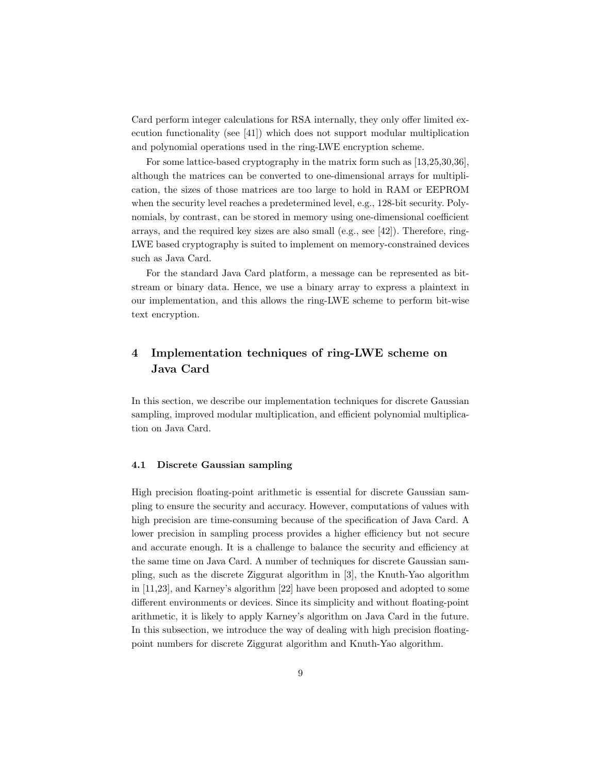Card perform integer calculations for RSA internally, they only offer limited execution functionality (see [41]) which does not support modular multiplication and polynomial operations used in the ring-LWE encryption scheme.

For some lattice-based cryptography in the matrix form such as [13,25,30,36], although the matrices can be converted to one-dimensional arrays for multiplication, the sizes of those matrices are too large to hold in RAM or EEPROM when the security level reaches a predetermined level, e.g., 128-bit security. Polynomials, by contrast, can be stored in memory using one-dimensional coefficient arrays, and the required key sizes are also small (e.g., see [42]). Therefore, ring-LWE based cryptography is suited to implement on memory-constrained devices such as Java Card.

For the standard Java Card platform, a message can be represented as bitstream or binary data. Hence, we use a binary array to express a plaintext in our implementation, and this allows the ring-LWE scheme to perform bit-wise text encryption.

# **4 Implementation techniques of ring-LWE scheme on Java Card**

In this section, we describe our implementation techniques for discrete Gaussian sampling, improved modular multiplication, and efficient polynomial multiplication on Java Card.

### **4.1 Discrete Gaussian sampling**

High precision floating-point arithmetic is essential for discrete Gaussian sampling to ensure the security and accuracy. However, computations of values with high precision are time-consuming because of the specification of Java Card. A lower precision in sampling process provides a higher efficiency but not secure and accurate enough. It is a challenge to balance the security and efficiency at the same time on Java Card. A number of techniques for discrete Gaussian sampling, such as the discrete Ziggurat algorithm in [3], the Knuth-Yao algorithm in [11,23], and Karney's algorithm [22] have been proposed and adopted to some different environments or devices. Since its simplicity and without floating-point arithmetic, it is likely to apply Karney's algorithm on Java Card in the future. In this subsection, we introduce the way of dealing with high precision floatingpoint numbers for discrete Ziggurat algorithm and Knuth-Yao algorithm.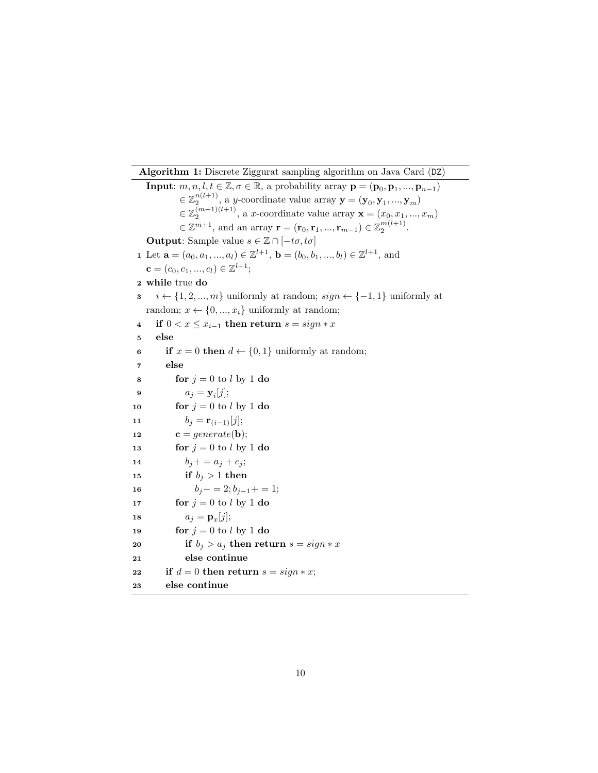**Algorithm 1:** Discrete Ziggurat sampling algorithm on Java Card (DZ)

**Input**:  $m, n, l, t \in \mathbb{Z}, \sigma \in \mathbb{R}$ , a probability array  $\mathbf{p} = (\mathbf{p}_0, \mathbf{p}_1, ..., \mathbf{p}_{n-1})$  $\in \mathbb{Z}_2^{n(l+1)}$ , a *y*-coordinate value array  $\mathbf{y} = (\mathbf{y}_0, \mathbf{y}_1, ..., \mathbf{y}_m)$  $\in \mathbb{Z}_2^{(m+1)(l+1)}$ , a *x*-coordinate value array  $\mathbf{x} = (x_0, x_1, ..., x_m)$  $\in \mathbb{Z}^{m+1}$ , and an array  $\mathbf{r} = (\mathbf{r}_0, \mathbf{r}_1, ..., \mathbf{r}_{m-1}) \in \mathbb{Z}_2^{m(l+1)}$ . **Output**: Sample value  $s \in \mathbb{Z} \cap [-t\sigma, t\sigma]$  Let  $\mathbf{a} = (a_0, a_1, ..., a_l) \in \mathbb{Z}^{l+1}$ ,  $\mathbf{b} = (b_0, b_1, ..., b_l) \in \mathbb{Z}^{l+1}$ , and  ${\bf c} = (c_0, c_1, ..., c_l) \in \mathbb{Z}^{l+1};$  **while** true **do** *i ← {*1*,* 2*, ..., m}* uniformly at random; *sign ← {−*1*,* 1*}* uniformly at random;  $x \leftarrow \{0, ..., x_i\}$  uniformly at random; **if**  $0 < x \leq x_{i-1}$  **then return**  $s = sign * x$ **5 else if**  $x = 0$  **then**  $d \leftarrow \{0, 1\}$  uniformly at random; **7 else for**  $j = 0$  to *l* by 1 **do**   $a_j = \mathbf{y}_i[j];$ **for**  $j = 0$  to *l* by 1 **do**  $b_j = \mathbf{r}_{(i-1)}[j];$ **c** = *generate*(**b**); **for**  $j = 0$  to *l* by 1 **do**  $b_j + a_j + c_j;$ **if**  $b_j > 1$  **then**  $b_j - 2; b_{j-1} + 1;$  **for**  $j = 0$  to *l* by 1 **do**   $a_j = \mathbf{p}_x[j];$  **for**  $j = 0$  to *l* by 1 **do if**  $b_j > a_j$  **then return**  $s = sign * x$  **else continue if**  $d = 0$  **then return**  $s = sign * x$ ; **else continue**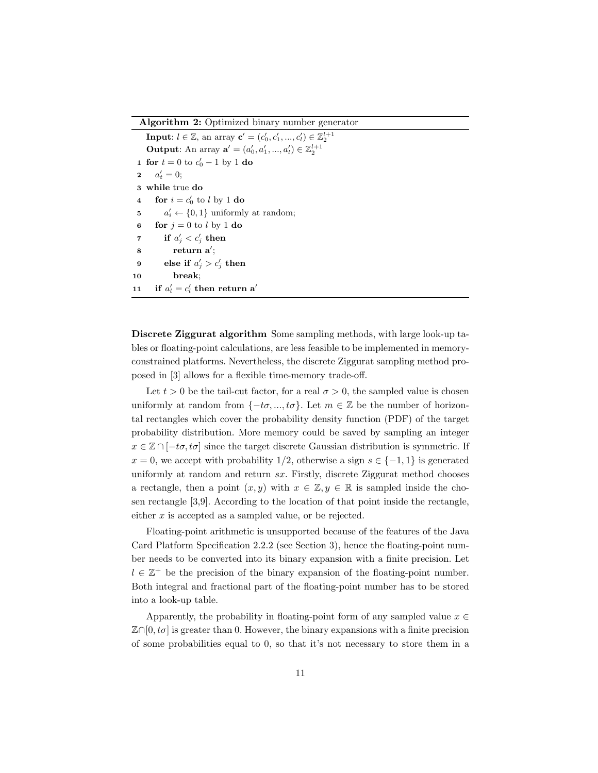**Algorithm 2:** Optimized binary number generator

**Input**:  $l \in \mathbb{Z}$ , an array  $\mathbf{c}' = (c'_0, c'_1, ..., c'_l) \in \mathbb{Z}_2^{l+1}$ **Output**: An array  $\mathbf{a}' = (a'_0, a'_1, ..., a'_l) \in \mathbb{Z}_2^{l+1}$  **for**  $t = 0$  to  $c'_0 - 1$  by 1 **do 2**  $a'_t = 0;$  **while** true **do for**  $i = c'_0$  to *l* by 1 **do**   $a'_i \leftarrow \{0, 1\}$  uniformly at random; **for**  $j = 0$  to *l* by 1 **do if**  $a'_j < c'_j$  **then return a***′* ; **else if**  $a'_j > c'_j$  **then 10 break**; **if**  $a'_l = c'_l$  then return a<sup>*′*</sup>

**Discrete Ziggurat algorithm** Some sampling methods, with large look-up tables or floating-point calculations, are less feasible to be implemented in memoryconstrained platforms. Nevertheless, the discrete Ziggurat sampling method proposed in [3] allows for a flexible time-memory trade-off.

Let  $t > 0$  be the tail-cut factor, for a real  $\sigma > 0$ , the sampled value is chosen uniformly at random from  $\{-t\sigma, ..., t\sigma\}$ . Let  $m \in \mathbb{Z}$  be the number of horizontal rectangles which cover the probability density function (PDF) of the target probability distribution. More memory could be saved by sampling an integer  $x \in \mathbb{Z} \cap [-t\sigma, t\sigma]$  since the target discrete Gaussian distribution is symmetric. If  $x = 0$ , we accept with probability 1/2, otherwise a sign  $s \in \{-1, 1\}$  is generated uniformly at random and return *sx*. Firstly, discrete Ziggurat method chooses a rectangle, then a point  $(x, y)$  with  $x \in \mathbb{Z}, y \in \mathbb{R}$  is sampled inside the chosen rectangle [3,9]. According to the location of that point inside the rectangle, either *x* is accepted as a sampled value, or be rejected.

Floating-point arithmetic is unsupported because of the features of the Java Card Platform Specification 2.2.2 (see Section 3), hence the floating-point number needs to be converted into its binary expansion with a finite precision. Let *l* ∈  $\mathbb{Z}^+$  be the precision of the binary expansion of the floating-point number. Both integral and fractional part of the floating-point number has to be stored into a look-up table.

Apparently, the probability in floating-point form of any sampled value  $x \in$  $\mathbb{Z}\cap[0, t\sigma]$  is greater than 0. However, the binary expansions with a finite precision of some probabilities equal to 0, so that it's not necessary to store them in a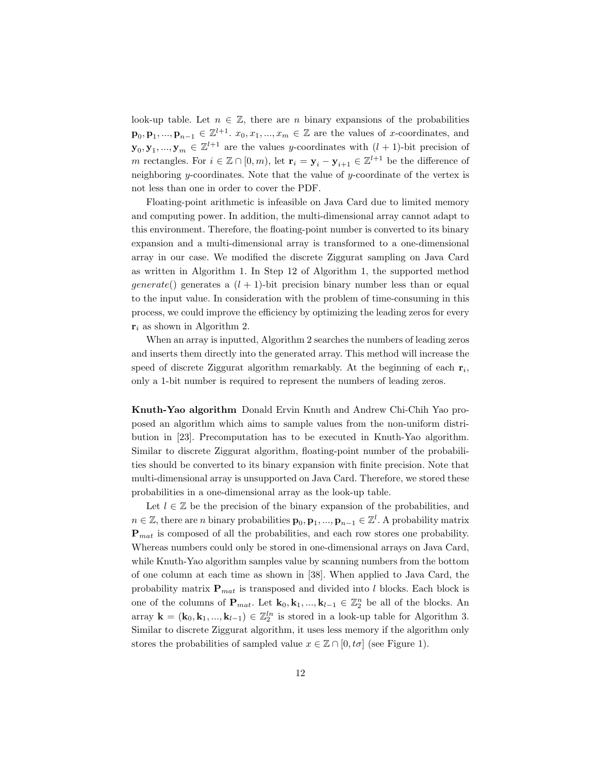look-up table. Let  $n \in \mathbb{Z}$ , there are *n* binary expansions of the probabilities **p**<sub>0</sub>, **p**<sub>1</sub>, ..., **p**<sub>*n*−1</sub>  $\in \mathbb{Z}^{l+1}$ . *x*<sub>0</sub>*, x*<sub>1</sub>*, ..., x<sub>m</sub>*  $\in \mathbb{Z}$  are the values of *x*-coordinates, and  $\mathbf{y}_0, \mathbf{y}_1, ..., \mathbf{y}_m \in \mathbb{Z}^{l+1}$  are the values *y*-coordinates with  $(l+1)$ -bit precision of *m* rectangles. For  $i \in \mathbb{Z} \cap [0, m)$ , let  $\mathbf{r}_i = \mathbf{y}_i - \mathbf{y}_{i+1} \in \mathbb{Z}^{l+1}$  be the difference of neighboring *y*-coordinates. Note that the value of *y*-coordinate of the vertex is not less than one in order to cover the PDF.

Floating-point arithmetic is infeasible on Java Card due to limited memory and computing power. In addition, the multi-dimensional array cannot adapt to this environment. Therefore, the floating-point number is converted to its binary expansion and a multi-dimensional array is transformed to a one-dimensional array in our case. We modified the discrete Ziggurat sampling on Java Card as written in Algorithm 1. In Step 12 of Algorithm 1, the supported method *generate*() generates a  $(l + 1)$ -bit precision binary number less than or equal to the input value. In consideration with the problem of time-consuming in this process, we could improve the efficiency by optimizing the leading zeros for every **r***<sup>i</sup>* as shown in Algorithm 2.

When an array is inputted, Algorithm 2 searches the numbers of leading zeros and inserts them directly into the generated array. This method will increase the speed of discrete Ziggurat algorithm remarkably. At the beginning of each **r***<sup>i</sup>* , only a 1-bit number is required to represent the numbers of leading zeros.

**Knuth-Yao algorithm** Donald Ervin Knuth and Andrew Chi-Chih Yao proposed an algorithm which aims to sample values from the non-uniform distribution in [23]. Precomputation has to be executed in Knuth-Yao algorithm. Similar to discrete Ziggurat algorithm, floating-point number of the probabilities should be converted to its binary expansion with finite precision. Note that multi-dimensional array is unsupported on Java Card. Therefore, we stored these probabilities in a one-dimensional array as the look-up table.

Let  $l \in \mathbb{Z}$  be the precision of the binary expansion of the probabilities, and  $n \in \mathbb{Z}$ , there are *n* binary probabilities  $\mathbf{p}_0, \mathbf{p}_1, ..., \mathbf{p}_{n-1} \in \mathbb{Z}^l$ . A probability matrix **P***mat* is composed of all the probabilities, and each row stores one probability. Whereas numbers could only be stored in one-dimensional arrays on Java Card, while Knuth-Yao algorithm samples value by scanning numbers from the bottom of one column at each time as shown in [38]. When applied to Java Card, the probability matrix  $P_{mat}$  is transposed and divided into *l* blocks. Each block is one of the columns of  $\mathbf{P}_{mat}$ . Let  $\mathbf{k}_0, \mathbf{k}_1, ..., \mathbf{k}_{l-1} \in \mathbb{Z}_2^n$  be all of the blocks. An array  $\mathbf{k} = (\mathbf{k}_0, \mathbf{k}_1, ..., \mathbf{k}_{l-1}) \in \mathbb{Z}_2^{ln}$  is stored in a look-up table for Algorithm 3. Similar to discrete Ziggurat algorithm, it uses less memory if the algorithm only stores the probabilities of sampled value  $x \in \mathbb{Z} \cap [0, t\sigma]$  (see Figure 1).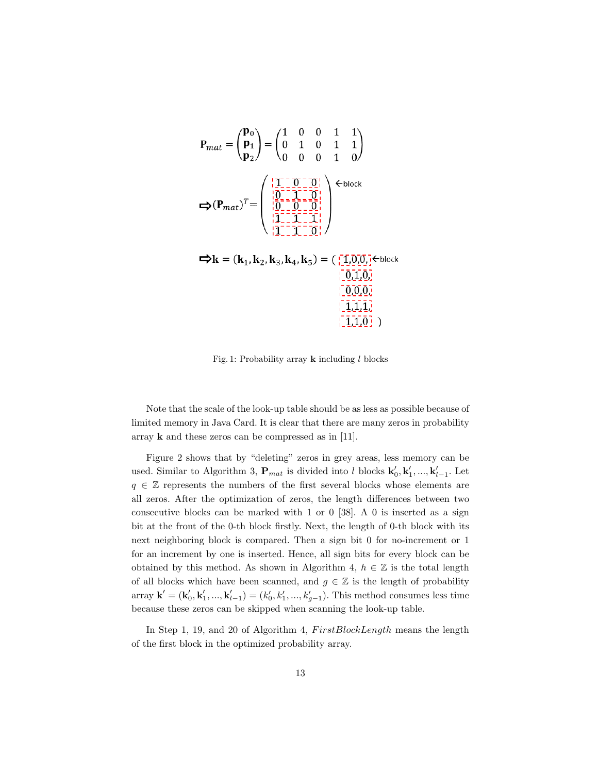$$
\mathbf{P}_{mat} = \begin{pmatrix} \mathbf{p}_0 \\ \mathbf{p}_1 \\ \mathbf{p}_2 \end{pmatrix} = \begin{pmatrix} 1 & 0 & 0 & 1 & 1 \\ 0 & 1 & 0 & 1 & 1 \\ 0 & 0 & 0 & 1 & 0 \end{pmatrix}
$$

$$
\mathbf{\Leftrightarrow} (\mathbf{P}_{mat})^T = \begin{pmatrix} \frac{1}{2} \begin{bmatrix} 1 & 0 & 0 & 1 & 1 \\ 0 & 1 & 0 & 1 & 0 \end{bmatrix} \\ \frac{1}{2} \begin{bmatrix} 0 & 0 & 0 & 1 \\ 0 & 0 & 0 & 1 \end{bmatrix} \\ \frac{1}{2} \begin{bmatrix} 0 & 0 & 0 \\ 0 & 0 & 0 & 1 \end{bmatrix} \\ \frac{1}{2} \begin{bmatrix} 0 & 0 & 0 \\ 0 & 0 & 0 & 1 \end{bmatrix} \end{pmatrix} \mathbf{\Leftrightarrow} \mathbf{R} = (\mathbf{k}_1, \mathbf{k}_2, \mathbf{k}_3, \mathbf{k}_4, \mathbf{k}_5) = (\begin{bmatrix} \begin{bmatrix} 1 & 0 \\ 0 & 0 \end{bmatrix} \begin{bmatrix} 0 \\ 0 \end{bmatrix} \begin{bmatrix} 0 \\ 0 \end{bmatrix})^T = \begin{bmatrix} 0 \\ 0 \\ 0 \end{bmatrix} \begin{bmatrix} 0 \\ 0 \\ 0 \end{bmatrix} \begin{bmatrix} 0 \\ 0 \\ 0 \end{bmatrix} \begin{bmatrix} 0 \\ 0 \\ 0 \end{bmatrix} \begin{bmatrix} 0 \\ 0 \\ 0 \end{bmatrix} \begin{bmatrix} 0 \\ 0 \\ 0 \end{bmatrix} \begin{bmatrix} 0 \\ 0 \\ 0 \end{bmatrix} \begin{bmatrix} 0 \\ 0 \\ 0 \end{bmatrix} \end{pmatrix}
$$

Fig. 1: Probability array **k** including *l* blocks

 $[1,1,0]$ )

Note that the scale of the look-up table should be as less as possible because of limited memory in Java Card. It is clear that there are many zeros in probability array **k** and these zeros can be compressed as in [11].

Figure 2 shows that by "deleting" zeros in grey areas, less memory can be used. Similar to Algorithm 3,  $\mathbf{P}_{mat}$  is divided into *l* blocks  $\mathbf{k}'_0, \mathbf{k}'_1, ..., \mathbf{k}'_{l-1}$ . Let *q* ∈ Z represents the numbers of the first several blocks whose elements are all zeros. After the optimization of zeros, the length differences between two consecutive blocks can be marked with 1 or 0 [38]. A 0 is inserted as a sign bit at the front of the 0-th block firstly. Next, the length of 0-th block with its next neighboring block is compared. Then a sign bit 0 for no-increment or 1 for an increment by one is inserted. Hence, all sign bits for every block can be obtained by this method. As shown in Algorithm 4,  $h \in \mathbb{Z}$  is the total length of all blocks which have been scanned, and  $g \in \mathbb{Z}$  is the length of probability array  $\mathbf{k}' = (\mathbf{k}'_0, \mathbf{k}'_1, ..., \mathbf{k}'_{l-1}) = (k'_0, k'_1, ..., k'_{g-1})$ . This method consumes less time because these zeros can be skipped when scanning the look-up table.

In Step 1, 19, and 20 of Algorithm 4,  $FirstBlockLength$  means the length of the first block in the optimized probability array.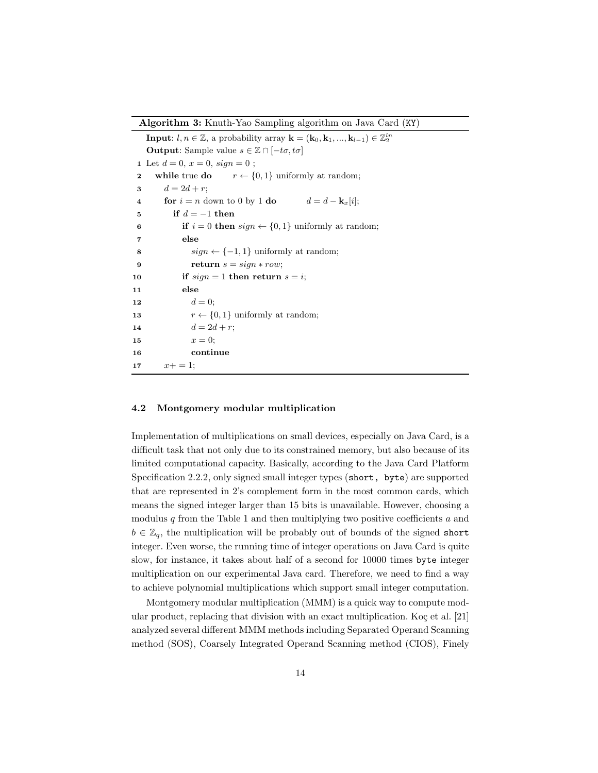**Algorithm 3:** Knuth-Yao Sampling algorithm on Java Card (KY)

**Input**:  $l, n \in \mathbb{Z}$ , a probability array  $\mathbf{k} = (\mathbf{k}_0, \mathbf{k}_1, ..., \mathbf{k}_{l-1}) \in \mathbb{Z}_2^{ln}$ **Output**: Sample value  $s \in \mathbb{Z} \cap [-t\sigma, t\sigma]$ **1** Let  $d = 0, x = 0, sign = 0$ ; **2 while** true **do**  $r \leftarrow \{0, 1\}$  uniformly at random; **3**  $d = 2d + r$ ; **4 for**  $i = n$  down to 0 by 1 **do**  $d = d - \mathbf{k}_x[i]$ ; **5 if** *d* = *−*1 **then 6 if**  $i = 0$  **then**  $sign \leftarrow \{0, 1\}$  uniformly at random; **7 else 8**  $sign \leftarrow \{-1, 1\}$  uniformly at random; **9 return**  $s = sign * row;$ 10 **if**  $sign = 1$  **then return**  $s = i$ ; **11 else 12**  $d = 0;$ **13**  $r \leftarrow \{0, 1\}$  uniformly at random; 14  $d = 2d + r;$ 15  $x = 0$ ; **16 continue** 17  $x+ = 1;$ 

### **4.2 Montgomery modular multiplication**

Implementation of multiplications on small devices, especially on Java Card, is a difficult task that not only due to its constrained memory, but also because of its limited computational capacity. Basically, according to the Java Card Platform Specification 2.2.2, only signed small integer types (short, byte) are supported that are represented in 2's complement form in the most common cards, which means the signed integer larger than 15 bits is unavailable. However, choosing a modulus *q* from the Table 1 and then multiplying two positive coefficients *a* and  $b \in \mathbb{Z}_q$ , the multiplication will be probably out of bounds of the signed short integer. Even worse, the running time of integer operations on Java Card is quite slow, for instance, it takes about half of a second for 10000 times byte integer multiplication on our experimental Java card. Therefore, we need to find a way to achieve polynomial multiplications which support small integer computation.

Montgomery modular multiplication (MMM) is a quick way to compute modular product, replacing that division with an exact multiplication. Ko $\varphi$  et al. [21] analyzed several different MMM methods including Separated Operand Scanning method (SOS), Coarsely Integrated Operand Scanning method (CIOS), Finely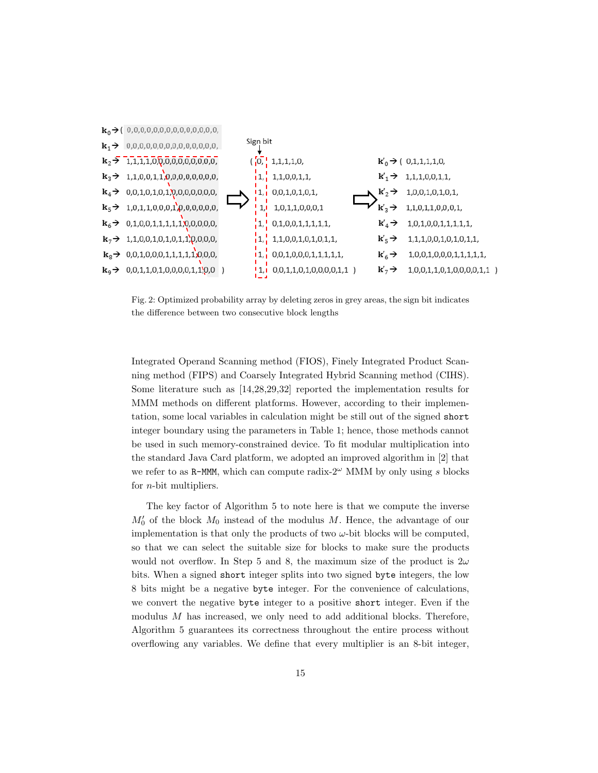

Fig. 2: Optimized probability array by deleting zeros in grey areas, the sign bit indicates the difference between two consecutive block lengths

Integrated Operand Scanning method (FIOS), Finely Integrated Product Scanning method (FIPS) and Coarsely Integrated Hybrid Scanning method (CIHS). Some literature such as [14,28,29,32] reported the implementation results for MMM methods on different platforms. However, according to their implementation, some local variables in calculation might be still out of the signed short integer boundary using the parameters in Table 1; hence, those methods cannot be used in such memory-constrained device. To fit modular multiplication into the standard Java Card platform, we adopted an improved algorithm in [2] that we refer to as R-MMM, which can compute radix-2*<sup>ω</sup>* MMM by only using *s* blocks for *n*-bit multipliers.

The key factor of Algorithm 5 to note here is that we compute the inverse *M*<sup> $\prime$ </sup> of the block *M*<sup> $0$ </sup> instead of the modulus *M*. Hence, the advantage of our implementation is that only the products of two  $\omega$ -bit blocks will be computed, so that we can select the suitable size for blocks to make sure the products would not overflow. In Step 5 and 8, the maximum size of the product is 2*ω* bits. When a signed short integer splits into two signed byte integers, the low 8 bits might be a negative byte integer. For the convenience of calculations, we convert the negative byte integer to a positive short integer. Even if the modulus *M* has increased, we only need to add additional blocks. Therefore, Algorithm 5 guarantees its correctness throughout the entire process without overflowing any variables. We define that every multiplier is an 8-bit integer,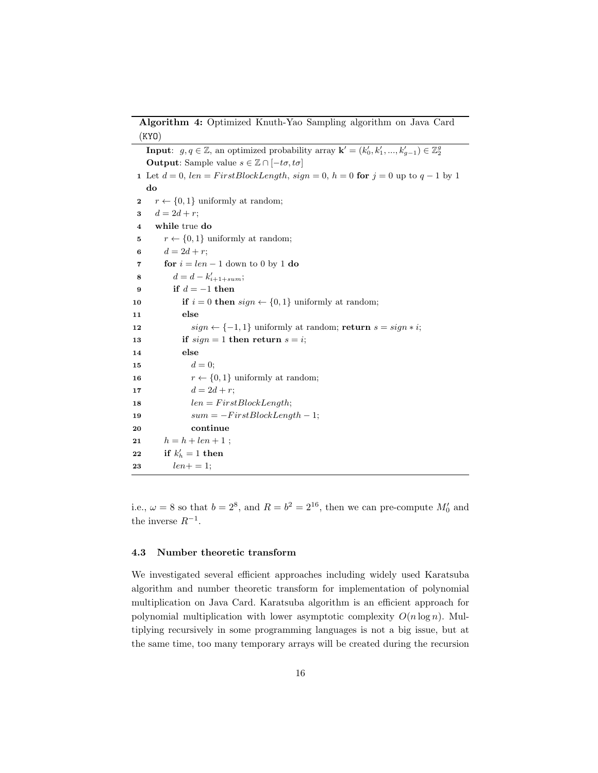**Algorithm 4:** Optimized Knuth-Yao Sampling algorithm on Java Card (KYO)

|          | <b>Input:</b> $g, q \in \mathbb{Z}$ , an optimized probability array $\mathbf{k}' = (k'_0, k'_1, , k'_{g-1}) \in \mathbb{Z}_2^g$ |
|----------|----------------------------------------------------------------------------------------------------------------------------------|
|          | <b>Output:</b> Sample value $s \in \mathbb{Z} \cap [-t\sigma, t\sigma]$                                                          |
|          | 1 Let $d = 0$ , $len = FirstBlockLength$ , $sign = 0$ , $h = 0$ for $j = 0$ up to $q - 1$ by 1                                   |
|          | do                                                                                                                               |
| $\bf{2}$ | $r \leftarrow \{0, 1\}$ uniformly at random;                                                                                     |
| 3        | $d=2d+r;$                                                                                                                        |
| $\bf{4}$ | while true do                                                                                                                    |
| 5        | $r \leftarrow \{0, 1\}$ uniformly at random;                                                                                     |
| 6        | $d = 2d + r$                                                                                                                     |
| 7        | for $i = len - 1$ down to 0 by 1 do                                                                                              |
| 8        | $d = d - k'_{i+1+sum};$                                                                                                          |
| 9        | if $d = -1$ then                                                                                                                 |
| 10       | <b>if</b> $i = 0$ then $sign \leftarrow \{0, 1\}$ uniformly at random;                                                           |
| 11       | else                                                                                                                             |
| 12       | $sign \leftarrow \{-1, 1\}$ uniformly at random; <b>return</b> $s = sign * i$ ;                                                  |
| 13       | if $sign = 1$ then return $s = i$ ;                                                                                              |
| 14       | else                                                                                                                             |
| 15       | $d=0$                                                                                                                            |
| 16       | $r \leftarrow \{0, 1\}$ uniformly at random;                                                                                     |
| 17       | $d = 2d + r$ ;                                                                                                                   |
| 18       | $len = FirstBlockLength;$                                                                                                        |
| 19       | $sum = -FirstBlockLength - 1;$                                                                                                   |
| 20       | continue                                                                                                                         |
| 21       | $h = h + len + 1$ ;                                                                                                              |
| 22       | if $k'_h = 1$ then                                                                                                               |
| 23       | $len+=1$                                                                                                                         |
|          |                                                                                                                                  |

i.e.,  $\omega = 8$  so that  $b = 2^8$ , and  $R = b^2 = 2^{16}$ , then we can pre-compute  $M'_0$  and the inverse *R−*<sup>1</sup> .

### **4.3 Number theoretic transform**

We investigated several efficient approaches including widely used Karatsuba algorithm and number theoretic transform for implementation of polynomial multiplication on Java Card. Karatsuba algorithm is an efficient approach for polynomial multiplication with lower asymptotic complexity  $O(n \log n)$ . Multiplying recursively in some programming languages is not a big issue, but at the same time, too many temporary arrays will be created during the recursion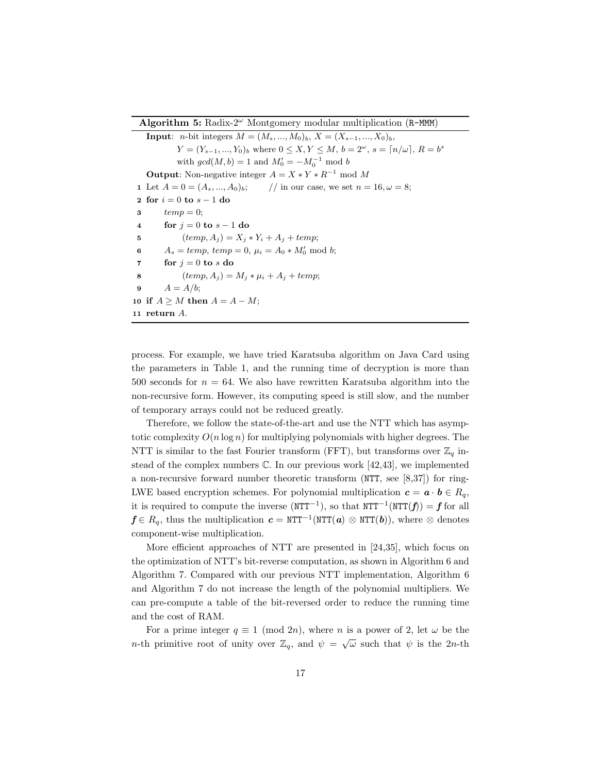**Algorithm 5:** Radix-2*<sup>ω</sup>* Montgomery modular multiplication (R-MMM)

**Input**: *n*-bit integers  $M = (M_s, ..., M_0)_b$ ,  $X = (X_{s-1}, ..., X_0)_b$ *Y* =  $(Y_{s-1}, ..., Y_0)_b$  where  $0 \le X, Y \le M, b = 2^{\omega}, s = \lceil n/\omega \rceil, R = b^s$ with  $gcd(M, b) = 1$  and  $M'_0 = -M_0^{-1} \mod b$ **Output**: Non-negative integer  $A = X * Y * R^{-1}$  mod M Let  $A = 0 = (A_s, ..., A_0)_b;$  // in our case, we set  $n = 16, \omega = 8;$  **for** *i* = 0 **to** *s −* 1 **do** *temp* = 0; **for**  $j = 0$  **to**  $s - 1$  **do**   $(temp, A_j) = X_j * Y_i + A_j + temp;$   $A_s = temp, temp = 0, \mu_i = A_0 * M'_0 \text{ mod } b;$  **for**  $j = 0$  **to**  $s$  **do**  (*temp, A<sub><i>j*</sub>) =  $M_i * \mu_i + A_j + temp$ ; **9**  $A = A/b;$ **if**  $A \geq M$  **then**  $A = A - M$ ; **return** *A*.

process. For example, we have tried Karatsuba algorithm on Java Card using the parameters in Table 1, and the running time of decryption is more than 500 seconds for  $n = 64$ . We also have rewritten Karatsuba algorithm into the non-recursive form. However, its computing speed is still slow, and the number of temporary arrays could not be reduced greatly.

Therefore, we follow the state-of-the-art and use the NTT which has asymptotic complexity  $O(n \log n)$  for multiplying polynomials with higher degrees. The NTT is similar to the fast Fourier transform (FFT), but transforms over  $\mathbb{Z}_q$  instead of the complex numbers  $\mathbb{C}$ . In our previous work [42,43], we implemented a non-recursive forward number theoretic transform (NTT, see [8,37]) for ring-LWE based encryption schemes. For polynomial multiplication  $c = a \cdot b \in R_q$ , it is required to compute the inverse (NTT*−*<sup>1</sup> ), so that NTT*−*<sup>1</sup> (NTT(*f*)) = *f* for all  $f \in R_q$ , thus the multiplication  $c = \text{NTT}^{-1}(\text{NTT}(\boldsymbol{a}) \otimes \text{NTT}(\boldsymbol{b}))$ , where  $\otimes$  denotes component-wise multiplication.

More efficient approaches of NTT are presented in [24,35], which focus on the optimization of NTT's bit-reverse computation, as shown in Algorithm 6 and Algorithm 7. Compared with our previous NTT implementation, Algorithm 6 and Algorithm 7 do not increase the length of the polynomial multipliers. We can pre-compute a table of the bit-reversed order to reduce the running time and the cost of RAM.

For a prime integer  $q \equiv 1 \pmod{2n}$ , where *n* is a power of 2, let  $\omega$  be the *n*-th primitive root of unity over  $\mathbb{Z}_q$ , and  $\psi = \sqrt{\omega}$  such that  $\psi$  is the 2*n*-th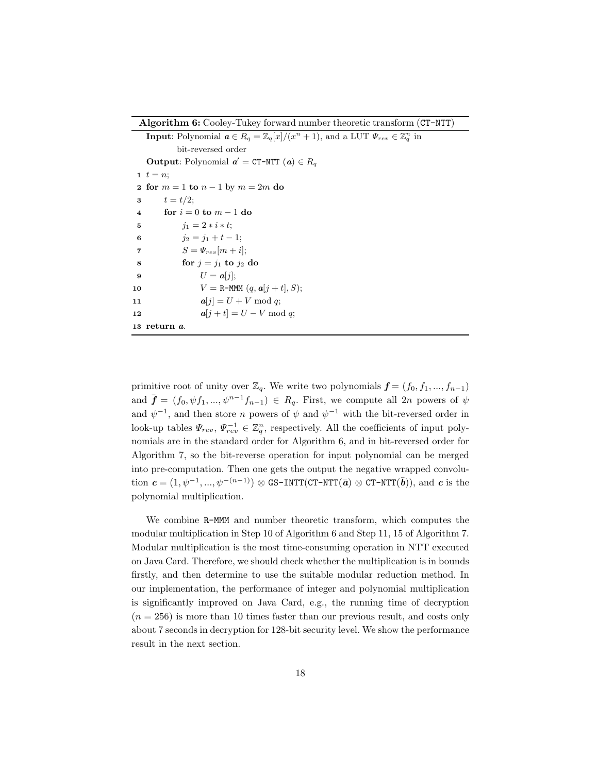**Algorithm 6:** Cooley-Tukey forward number theoretic transform (CT-NTT)

**Input**: Polynomial  $a \in R_q = \mathbb{Z}_q[x]/(x^n + 1)$ , and a LUT  $\Psi_{rev} \in \mathbb{Z}_q^n$  in bit-reversed order **Output**: Polynomial  $a'$  = CT-NTT  $(a) \in R_q$  $1 \, t = n;$  **for** *m* = 1 **to** *n −* 1 by *m* = 2*m* **do 3**  $t = t/2$ ; **for** *i* = 0 **to** *m −* 1 **do**  $j_1 = 2 * i * t;$   $j_2 = j_1 + t - 1;$   $S = \Psi_{rev}[m+i];$  **for**  $j = j_1$  **to**  $j_2$  **do 9**  $U = a[i];$   $V = \text{R-MMM} (q, a[j+t], S);$   $a[j] = U + V \bmod q;$   $a[j + t] = U - V \bmod q;$ **return** *a*.

primitive root of unity over  $\mathbb{Z}_q$ . We write two polynomials  $\boldsymbol{f} = (f_0, f_1, ..., f_{n-1})$ and  $\bar{\mathbf{f}} = (f_0, \psi f_1, ..., \psi^{n-1} f_{n-1}) \in R_q$ . First, we compute all 2*n* powers of  $\psi$ and  $\psi^{-1}$ , and then store *n* powers of  $\psi$  and  $\psi^{-1}$  with the bit-reversed order in look-up tables  $\Psi_{rev}$ ,  $\Psi_{rev}^{-1} \in \mathbb{Z}_q^n$ , respectively. All the coefficients of input polynomials are in the standard order for Algorithm 6, and in bit-reversed order for Algorithm 7, so the bit-reverse operation for input polynomial can be merged into pre-computation. Then one gets the output the negative wrapped convolution  $c = (1, \psi^{-1}, ..., \psi^{-(n-1)}) \otimes \text{GS-INTT}(\text{CT-NTT}(\bar{a}) \otimes \text{CT-NTT}(\bar{b}))$ , and  $c$  is the polynomial multiplication.

We combine R-MMM and number theoretic transform, which computes the modular multiplication in Step 10 of Algorithm 6 and Step 11, 15 of Algorithm 7. Modular multiplication is the most time-consuming operation in NTT executed on Java Card. Therefore, we should check whether the multiplication is in bounds firstly, and then determine to use the suitable modular reduction method. In our implementation, the performance of integer and polynomial multiplication is significantly improved on Java Card, e.g., the running time of decryption  $(n = 256)$  is more than 10 times faster than our previous result, and costs only about 7 seconds in decryption for 128-bit security level. We show the performance result in the next section.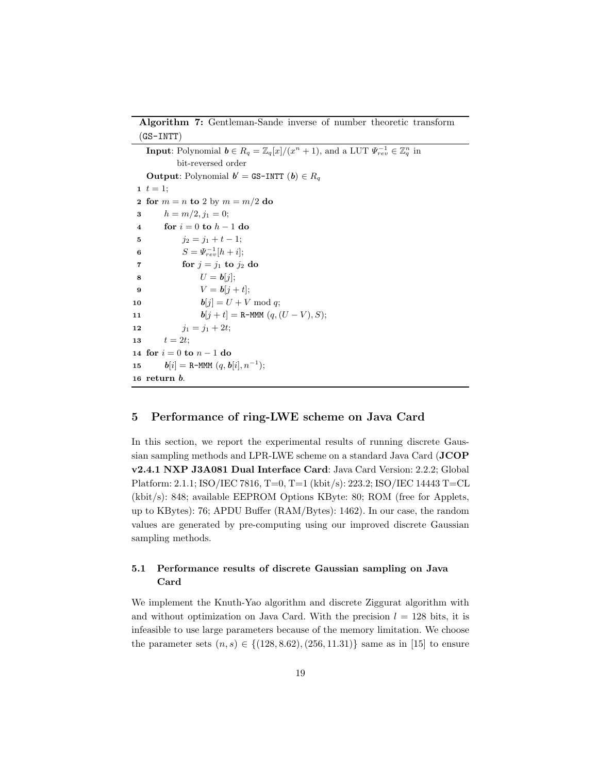**Algorithm 7:** Gentleman-Sande inverse of number theoretic transform  $(GS-INTT)$ 

**Input**: Polynomial  $\mathbf{b} \in R_q = \mathbb{Z}_q[x]/(x^n + 1)$ , and a LUT  $\Psi_{rev}^{-1} \in \mathbb{Z}_q^n$  in bit-reversed order **Output**: Polynomial  $b' =$  GS-INTT  $(b) \in R_q$  $1 \, t = 1;$ **2 for**  $m = n$  **to** 2 by  $m = m/2$  **do 3**  $h = m/2, j_1 = 0;$ **4 for** *i* = 0 **to** *h −* 1 **do 5**  $j_2 = j_1 + t - 1;$ **6**  $S = \Psi_{rev}^{-1}[h + i];$ **7 for**  $j = j_1$  **to**  $j_2$  **do 8**  $U = b[j];$ **9**  $V = b[j + t];$ **10**  $$ **11** *b*[ $j + t$ ] = R-MMM  $(q, (U - V), S);$ **12**  $j_1 = j_1 + 2t;$ 13  $t = 2t$ ; **14 for** *i* = 0 **to** *n −* 1 **do 15**  $$ **16 return** *b*.

# **5 Performance of ring-LWE scheme on Java Card**

In this section, we report the experimental results of running discrete Gaussian sampling methods and LPR-LWE scheme on a standard Java Card (**JCOP v2.4.1 NXP J3A081 Dual Interface Card**: Java Card Version: 2.2.2; Global Platform: 2.1.1; ISO/IEC 7816, T=0, T=1 (kbit/s): 223.2; ISO/IEC 14443 T=CL (kbit/s): 848; available EEPROM Options KByte: 80; ROM (free for Applets, up to KBytes): 76; APDU Buffer (RAM/Bytes): 1462). In our case, the random values are generated by pre-computing using our improved discrete Gaussian sampling methods.

# **5.1 Performance results of discrete Gaussian sampling on Java Card**

We implement the Knuth-Yao algorithm and discrete Ziggurat algorithm with and without optimization on Java Card. With the precision  $l = 128$  bits, it is infeasible to use large parameters because of the memory limitation. We choose the parameter sets  $(n, s) \in \{(128, 8.62), (256, 11.31)\}\$  same as in [15] to ensure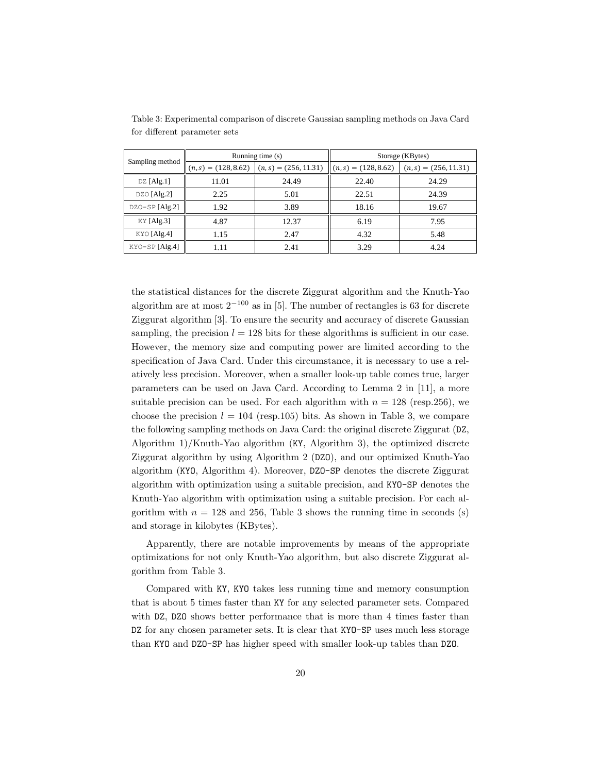|                  |       | Running time (s)                               | Storage (KBytes)      |                        |  |
|------------------|-------|------------------------------------------------|-----------------------|------------------------|--|
| Sampling method  |       | $(n, s) = (128, 8.62)$ $(n, s) = (256, 11.31)$ | $(n,s) = (128, 8.62)$ | $(n,s) = (256, 11.31)$ |  |
| $DZ$ [Alg.1]     | 11.01 | 24.49                                          | 22.40                 | 24.29                  |  |
| $DZO$ [Alg.2]    | 2.25  | 5.01                                           | 22.51                 | 24.39                  |  |
| $DZO-SP[Alg.2]$  | 1.92  | 3.89                                           | 18.16                 | 19.67                  |  |
| $KY$ [Alg.3]     | 4.87  | 12.37                                          | 6.19                  | 7.95                   |  |
| KYO [Alg.4]      | 1.15  | 2.47                                           | 4.32                  | 5.48                   |  |
| $KYO-SP [Alg.4]$ | 1.11  | 2.41                                           | 3.29                  | 4.24                   |  |

Table 3: Experimental comparison of discrete Gaussian sampling methods on Java Card for different parameter sets

the statistical distances for the discrete Ziggurat algorithm and the Knuth-Yao algorithm are at most 2*−*<sup>100</sup> as in [5]. The number of rectangles is 63 for discrete Ziggurat algorithm [3]. To ensure the security and accuracy of discrete Gaussian sampling, the precision  $l = 128$  bits for these algorithms is sufficient in our case. However, the memory size and computing power are limited according to the specification of Java Card. Under this circumstance, it is necessary to use a relatively less precision. Moreover, when a smaller look-up table comes true, larger parameters can be used on Java Card. According to Lemma 2 in [11], a more suitable precision can be used. For each algorithm with  $n = 128$  (resp. 256), we choose the precision  $l = 104$  (resp.105) bits. As shown in Table 3, we compare the following sampling methods on Java Card: the original discrete Ziggurat (DZ, Algorithm 1)/Knuth-Yao algorithm (KY, Algorithm 3), the optimized discrete Ziggurat algorithm by using Algorithm 2 (DZO), and our optimized Knuth-Yao algorithm (KYO, Algorithm 4). Moreover, DZO-SP denotes the discrete Ziggurat algorithm with optimization using a suitable precision, and KYO-SP denotes the Knuth-Yao algorithm with optimization using a suitable precision. For each algorithm with  $n = 128$  and 256, Table 3 shows the running time in seconds (s) and storage in kilobytes (KBytes).

Apparently, there are notable improvements by means of the appropriate optimizations for not only Knuth-Yao algorithm, but also discrete Ziggurat algorithm from Table 3.

Compared with KY, KYO takes less running time and memory consumption that is about 5 times faster than KY for any selected parameter sets. Compared with DZ, DZO shows better performance that is more than 4 times faster than DZ for any chosen parameter sets. It is clear that KYO-SP uses much less storage than KYO and DZO-SP has higher speed with smaller look-up tables than DZO.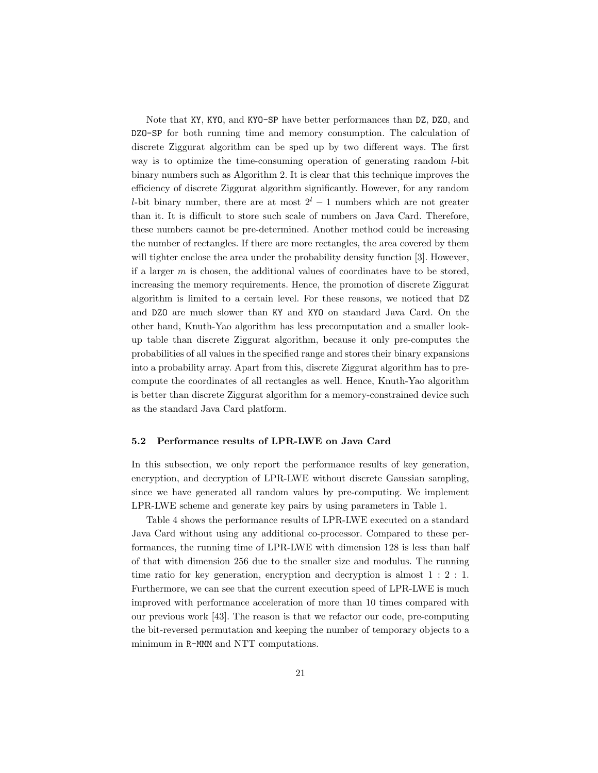Note that KY, KYO, and KYO-SP have better performances than DZ, DZO, and DZO-SP for both running time and memory consumption. The calculation of discrete Ziggurat algorithm can be sped up by two different ways. The first way is to optimize the time-consuming operation of generating random *l*-bit binary numbers such as Algorithm 2. It is clear that this technique improves the efficiency of discrete Ziggurat algorithm significantly. However, for any random *l*-bit binary number, there are at most  $2<sup>l</sup> - 1$  numbers which are not greater than it. It is difficult to store such scale of numbers on Java Card. Therefore, these numbers cannot be pre-determined. Another method could be increasing the number of rectangles. If there are more rectangles, the area covered by them will tighter enclose the area under the probability density function [3]. However, if a larger *m* is chosen, the additional values of coordinates have to be stored, increasing the memory requirements. Hence, the promotion of discrete Ziggurat algorithm is limited to a certain level. For these reasons, we noticed that DZ and DZO are much slower than KY and KYO on standard Java Card. On the other hand, Knuth-Yao algorithm has less precomputation and a smaller lookup table than discrete Ziggurat algorithm, because it only pre-computes the probabilities of all values in the specified range and stores their binary expansions into a probability array. Apart from this, discrete Ziggurat algorithm has to precompute the coordinates of all rectangles as well. Hence, Knuth-Yao algorithm is better than discrete Ziggurat algorithm for a memory-constrained device such as the standard Java Card platform.

### **5.2 Performance results of LPR-LWE on Java Card**

In this subsection, we only report the performance results of key generation, encryption, and decryption of LPR-LWE without discrete Gaussian sampling, since we have generated all random values by pre-computing. We implement LPR-LWE scheme and generate key pairs by using parameters in Table 1.

Table 4 shows the performance results of LPR-LWE executed on a standard Java Card without using any additional co-processor. Compared to these performances, the running time of LPR-LWE with dimension 128 is less than half of that with dimension 256 due to the smaller size and modulus. The running time ratio for key generation, encryption and decryption is almost 1 : 2 : 1. Furthermore, we can see that the current execution speed of LPR-LWE is much improved with performance acceleration of more than 10 times compared with our previous work [43]. The reason is that we refactor our code, pre-computing the bit-reversed permutation and keeping the number of temporary objects to a minimum in R-MMM and NTT computations.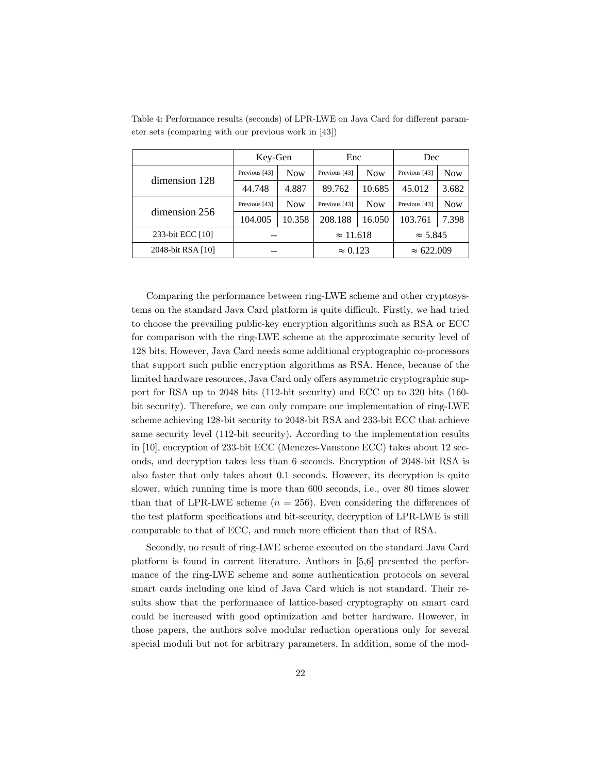|                   | Key-Gen       |            | Enc              |            | Dec               |            |
|-------------------|---------------|------------|------------------|------------|-------------------|------------|
| dimension 128     | Previous [43] | <b>Now</b> | Previous [43]    | <b>Now</b> | Previous [43]     | <b>Now</b> |
|                   | 44.748        | 4.887      | 89.762           | 10.685     | 45.012            | 3.682      |
| dimension 256     | Previous [43] | <b>Now</b> | Previous [43]    | <b>Now</b> | Previous [43]     | <b>Now</b> |
|                   | 104.005       | 10.358     | 208.188          | 16.050     | 103.761           | 7.398      |
| 233-bit ECC [10]  |               |            | $\approx$ 11.618 |            | $\approx$ 5.845   |            |
| 2048-bit RSA [10] |               |            | $\approx 0.123$  |            | $\approx 622.009$ |            |

Table 4: Performance results (seconds) of LPR-LWE on Java Card for different parameter sets (comparing with our previous work in [43])

Comparing the performance between ring-LWE scheme and other cryptosystems on the standard Java Card platform is quite difficult. Firstly, we had tried to choose the prevailing public-key encryption algorithms such as RSA or ECC for comparison with the ring-LWE scheme at the approximate security level of 128 bits. However, Java Card needs some additional cryptographic co-processors that support such public encryption algorithms as RSA. Hence, because of the limited hardware resources, Java Card only offers asymmetric cryptographic support for RSA up to 2048 bits (112-bit security) and ECC up to 320 bits (160 bit security). Therefore, we can only compare our implementation of ring-LWE scheme achieving 128-bit security to 2048-bit RSA and 233-bit ECC that achieve same security level (112-bit security). According to the implementation results in [10], encryption of 233-bit ECC (Menezes-Vanstone ECC) takes about 12 seconds, and decryption takes less than 6 seconds. Encryption of 2048-bit RSA is also faster that only takes about 0.1 seconds. However, its decryption is quite slower, which running time is more than 600 seconds, i.e., over 80 times slower than that of LPR-LWE scheme  $(n = 256)$ . Even considering the differences of the test platform specifications and bit-security, decryption of LPR-LWE is still comparable to that of ECC, and much more efficient than that of RSA.

Secondly, no result of ring-LWE scheme executed on the standard Java Card platform is found in current literature. Authors in [5,6] presented the performance of the ring-LWE scheme and some authentication protocols on several smart cards including one kind of Java Card which is not standard. Their results show that the performance of lattice-based cryptography on smart card could be increased with good optimization and better hardware. However, in those papers, the authors solve modular reduction operations only for several special moduli but not for arbitrary parameters. In addition, some of the mod-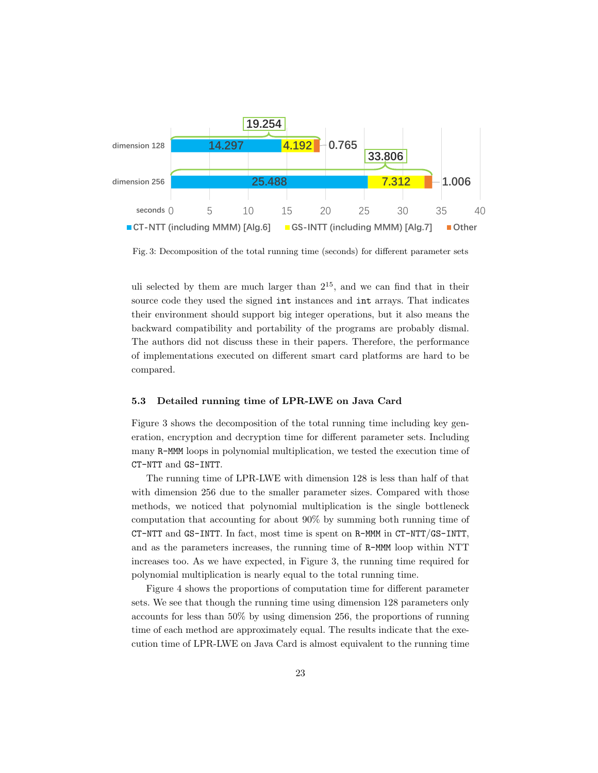

Fig. 3: Decomposition of the total running time (seconds) for different parameter sets

uli selected by them are much larger than  $2^{15}$ , and we can find that in their source code they used the signed int instances and int arrays. That indicates their environment should support big integer operations, but it also means the backward compatibility and portability of the programs are probably dismal. The authors did not discuss these in their papers. Therefore, the performance of implementations executed on different smart card platforms are hard to be compared.

### **5.3 Detailed running time of LPR-LWE on Java Card**

Figure 3 shows the decomposition of the total running time including key generation, encryption and decryption time for different parameter sets. Including many R-MMM loops in polynomial multiplication, we tested the execution time of CT-NTT and GS-INTT.

The running time of LPR-LWE with dimension 128 is less than half of that with dimension 256 due to the smaller parameter sizes. Compared with those methods, we noticed that polynomial multiplication is the single bottleneck computation that accounting for about 90% by summing both running time of CT-NTT and GS-INTT. In fact, most time is spent on R-MMM in CT-NTT/GS-INTT, and as the parameters increases, the running time of R-MMM loop within NTT increases too. As we have expected, in Figure 3, the running time required for polynomial multiplication is nearly equal to the total running time.

Figure 4 shows the proportions of computation time for different parameter sets. We see that though the running time using dimension 128 parameters only accounts for less than 50% by using dimension 256, the proportions of running time of each method are approximately equal. The results indicate that the execution time of LPR-LWE on Java Card is almost equivalent to the running time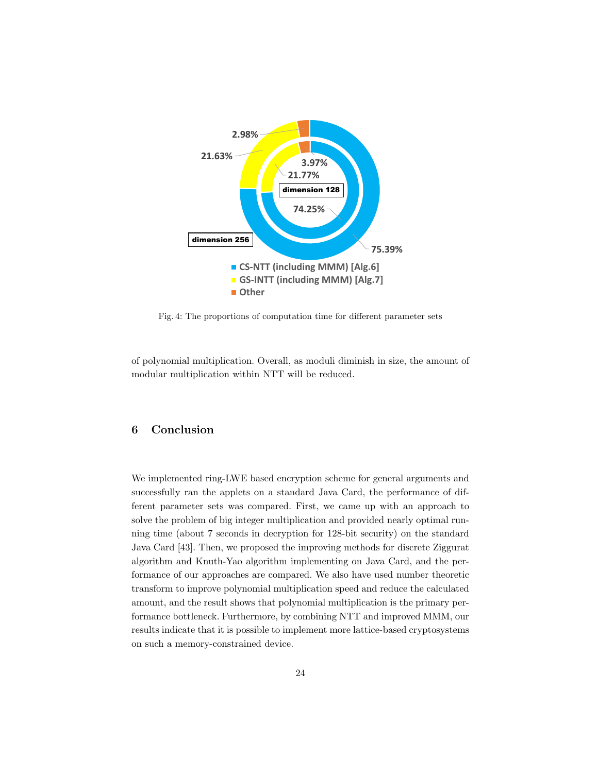

Fig. 4: The proportions of computation time for different parameter sets

of polynomial multiplication. Overall, as moduli diminish in size, the amount of modular multiplication within NTT will be reduced.

# **6 Conclusion**

We implemented ring-LWE based encryption scheme for general arguments and successfully ran the applets on a standard Java Card, the performance of different parameter sets was compared. First, we came up with an approach to solve the problem of big integer multiplication and provided nearly optimal running time (about 7 seconds in decryption for 128-bit security) on the standard Java Card [43]. Then, we proposed the improving methods for discrete Ziggurat algorithm and Knuth-Yao algorithm implementing on Java Card, and the performance of our approaches are compared. We also have used number theoretic transform to improve polynomial multiplication speed and reduce the calculated amount, and the result shows that polynomial multiplication is the primary performance bottleneck. Furthermore, by combining NTT and improved MMM, our results indicate that it is possible to implement more lattice-based cryptosystems on such a memory-constrained device.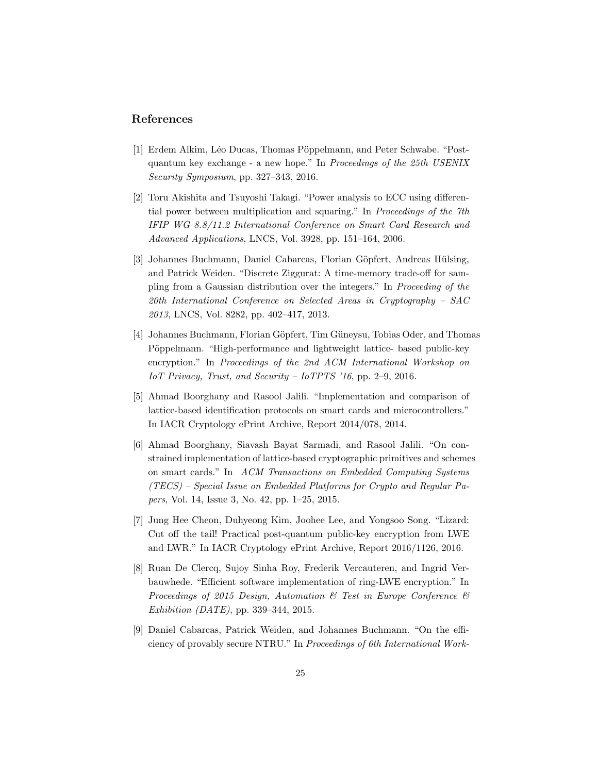# **References**

- [1] Erdem Alkim, Léo Ducas, Thomas Pöppelmann, and Peter Schwabe. "Postquantum key exchange - a new hope." In *Proceedings of the 25th USENIX Security Symposium*, pp. 327–343, 2016.
- [2] Toru Akishita and Tsuyoshi Takagi. "Power analysis to ECC using differential power between multiplication and squaring." In *Proceedings of the 7th IFIP WG 8.8/11.2 International Conference on Smart Card Research and Advanced Applications*, LNCS, Vol. 3928, pp. 151–164, 2006.
- [3] Johannes Buchmann, Daniel Cabarcas, Florian Göpfert, Andreas Hülsing, and Patrick Weiden. "Discrete Ziggurat: A time-memory trade-off for sampling from a Gaussian distribution over the integers." In *Proceeding of the 20th International Conference on Selected Areas in Cryptography – SAC 2013*, LNCS, Vol. 8282, pp. 402–417, 2013.
- [4] Johannes Buchmann, Florian Göpfert, Tim Güneysu, Tobias Oder, and Thomas Pöppelmann. "High-performance and lightweight lattice- based public-key encryption." In *Proceedings of the 2nd ACM International Workshop on IoT Privacy, Trust, and Security – IoTPTS '16*, pp. 2–9, 2016.
- [5] Ahmad Boorghany and Rasool Jalili. "Implementation and comparison of lattice-based identification protocols on smart cards and microcontrollers." In IACR Cryptology ePrint Archive, Report 2014/078, 2014.
- [6] Ahmad Boorghany, Siavash Bayat Sarmadi, and Rasool Jalili. "On constrained implementation of lattice-based cryptographic primitives and schemes on smart cards." In *ACM Transactions on Embedded Computing Systems (TECS) – Special Issue on Embedded Platforms for Crypto and Regular Papers*, Vol. 14, Issue 3, No. 42, pp. 1–25, 2015.
- [7] Jung Hee Cheon, Duhyeong Kim, Joohee Lee, and Yongsoo Song. "Lizard: Cut off the tail! Practical post-quantum public-key encryption from LWE and LWR." In IACR Cryptology ePrint Archive, Report 2016/1126, 2016.
- [8] Ruan De Clercq, Sujoy Sinha Roy, Frederik Vercauteren, and Ingrid Verbauwhede. "Efficient software implementation of ring-LWE encryption." In *Proceedings of 2015 Design, Automation & Test in Europe Conference & Exhibition (DATE)*, pp. 339–344, 2015.
- [9] Daniel Cabarcas, Patrick Weiden, and Johannes Buchmann. "On the efficiency of provably secure NTRU." In *Proceedings of 6th International Work-*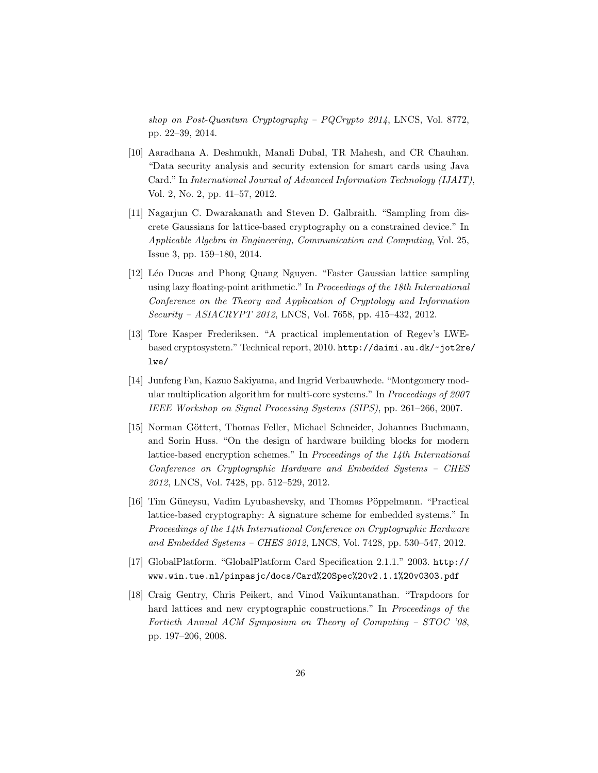*shop on Post-Quantum Cryptography – PQCrypto 2014*, LNCS, Vol. 8772, pp. 22–39, 2014.

- [10] Aaradhana A. Deshmukh, Manali Dubal, TR Mahesh, and CR Chauhan. "Data security analysis and security extension for smart cards using Java Card." In *International Journal of Advanced Information Technology (IJAIT)*, Vol. 2, No. 2, pp. 41–57, 2012.
- [11] Nagarjun C. Dwarakanath and Steven D. Galbraith. "Sampling from discrete Gaussians for lattice-based cryptography on a constrained device." In *Applicable Algebra in Engineering, Communication and Computing*, Vol. 25, Issue 3, pp. 159–180, 2014.
- [12] Léo Ducas and Phong Quang Nguyen. "Faster Gaussian lattice sampling using lazy floating-point arithmetic." In *Proceedings of the 18th International Conference on the Theory and Application of Cryptology and Information Security – ASIACRYPT 2012*, LNCS, Vol. 7658, pp. 415–432, 2012.
- [13] Tore Kasper Frederiksen. "A practical implementation of Regev's LWEbased cryptosystem." Technical report, 2010. http://daimi.au.dk/~jot2re/ lwe/
- [14] Junfeng Fan, Kazuo Sakiyama, and Ingrid Verbauwhede. "Montgomery modular multiplication algorithm for multi-core systems." In *Proceedings of 2007 IEEE Workshop on Signal Processing Systems (SIPS)*, pp. 261–266, 2007.
- [15] Norman Göttert, Thomas Feller, Michael Schneider, Johannes Buchmann, and Sorin Huss. "On the design of hardware building blocks for modern lattice-based encryption schemes." In *Proceedings of the 14th International Conference on Cryptographic Hardware and Embedded Systems – CHES 2012*, LNCS, Vol. 7428, pp. 512–529, 2012.
- [16] Tim Güneysu, Vadim Lyubashevsky, and Thomas Pöppelmann. "Practical lattice-based cryptography: A signature scheme for embedded systems." In *Proceedings of the 14th International Conference on Cryptographic Hardware and Embedded Systems – CHES 2012*, LNCS, Vol. 7428, pp. 530–547, 2012.
- [17] GlobalPlatform. "GlobalPlatform Card Specification 2.1.1." 2003. http:// www.win.tue.nl/pinpasjc/docs/Card%20Spec%20v2.1.1%20v0303.pdf
- [18] Craig Gentry, Chris Peikert, and Vinod Vaikuntanathan. "Trapdoors for hard lattices and new cryptographic constructions." In *Proceedings of the Fortieth Annual ACM Symposium on Theory of Computing – STOC '08*, pp. 197–206, 2008.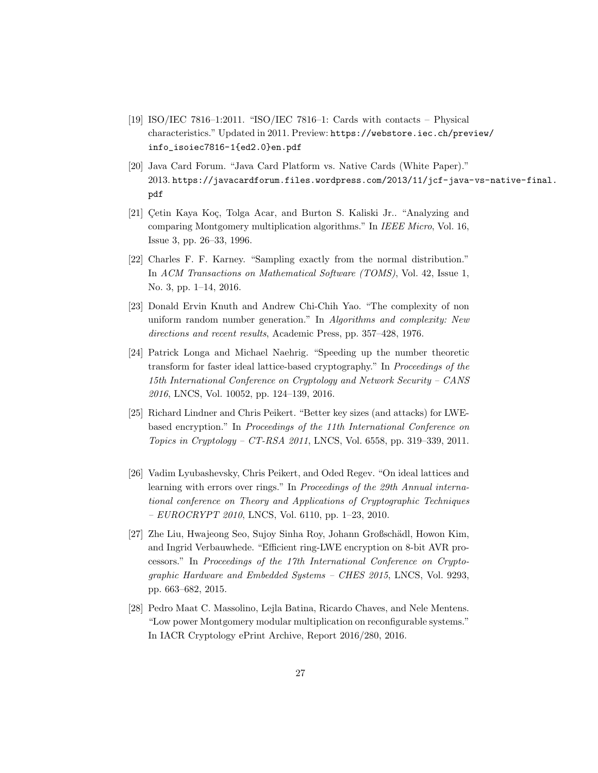- [19] ISO/IEC 7816–1:2011. "ISO/IEC 7816–1: Cards with contacts Physical characteristics." Updated in 2011. Preview: https://webstore.iec.ch/preview/ info\_isoiec7816-1{ed2.0}en.pdf
- [20] Java Card Forum. "Java Card Platform vs. Native Cards (White Paper)." 2013. https://javacardforum.files.wordpress.com/2013/11/jcf-java-vs-native-final. pdf
- [21] Cetin Kaya Koç, Tolga Acar, and Burton S. Kaliski Jr.. "Analyzing and comparing Montgomery multiplication algorithms." In *IEEE Micro*, Vol. 16, Issue 3, pp. 26–33, 1996.
- [22] Charles F. F. Karney. "Sampling exactly from the normal distribution." In *ACM Transactions on Mathematical Software (TOMS)*, Vol. 42, Issue 1, No. 3, pp. 1–14, 2016.
- [23] Donald Ervin Knuth and Andrew Chi-Chih Yao. "The complexity of non uniform random number generation." In *Algorithms and complexity: New directions and recent results*, Academic Press, pp. 357–428, 1976.
- [24] Patrick Longa and Michael Naehrig. "Speeding up the number theoretic transform for faster ideal lattice-based cryptography." In *Proceedings of the 15th International Conference on Cryptology and Network Security – CANS 2016*, LNCS, Vol. 10052, pp. 124–139, 2016.
- [25] Richard Lindner and Chris Peikert. "Better key sizes (and attacks) for LWEbased encryption." In *Proceedings of the 11th International Conference on Topics in Cryptology – CT-RSA 2011*, LNCS, Vol. 6558, pp. 319–339, 2011.
- [26] Vadim Lyubashevsky, Chris Peikert, and Oded Regev. "On ideal lattices and learning with errors over rings." In *Proceedings of the 29th Annual international conference on Theory and Applications of Cryptographic Techniques – EUROCRYPT 2010*, LNCS, Vol. 6110, pp. 1–23, 2010.
- [27] Zhe Liu, Hwajeong Seo, Sujoy Sinha Roy, Johann Großschädl, Howon Kim, and Ingrid Verbauwhede. "Efficient ring-LWE encryption on 8-bit AVR processors." In *Proceedings of the 17th International Conference on Cryptographic Hardware and Embedded Systems – CHES 2015*, LNCS, Vol. 9293, pp. 663–682, 2015.
- [28] Pedro Maat C. Massolino, Lejla Batina, Ricardo Chaves, and Nele Mentens. "Low power Montgomery modular multiplication on reconfigurable systems." In IACR Cryptology ePrint Archive, Report 2016/280, 2016.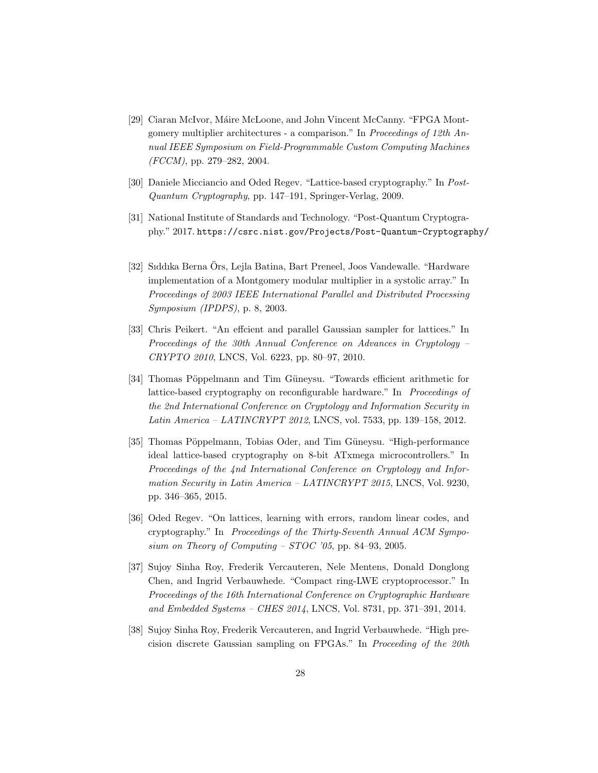- [29] Ciaran McIvor, Máire McLoone, and John Vincent McCanny. "FPGA Montgomery multiplier architectures - a comparison." In *Proceedings of 12th Annual IEEE Symposium on Field-Programmable Custom Computing Machines (FCCM)*, pp. 279–282, 2004.
- [30] Daniele Micciancio and Oded Regev. "Lattice-based cryptography." In *Post-Quantum Cryptography*, pp. 147–191, Springer-Verlag, 2009.
- [31] National Institute of Standards and Technology. "Post-Quantum Cryptography." 2017. https://csrc.nist.gov/Projects/Post-Quantum-Cryptography/
- [32] Sıddıka Berna Ors, Lejla Batina, Bart Preneel, Joos Vandewalle. "Hardware ¨ implementation of a Montgomery modular multiplier in a systolic array." In *Proceedings of 2003 IEEE International Parallel and Distributed Processing Symposium (IPDPS)*, p. 8, 2003.
- [33] Chris Peikert. "An effcient and parallel Gaussian sampler for lattices." In *Proceedings of the 30th Annual Conference on Advances in Cryptology – CRYPTO 2010*, LNCS, Vol. 6223, pp. 80–97, 2010.
- [34] Thomas Pöppelmann and Tim Güneysu. "Towards efficient arithmetic for lattice-based cryptography on reconfigurable hardware." In *Proceedings of the 2nd International Conference on Cryptology and Information Security in Latin America – LATINCRYPT 2012*, LNCS, vol. 7533, pp. 139–158, 2012.
- [35] Thomas Pöppelmann, Tobias Oder, and Tim Güneysu. "High-performance" ideal lattice-based cryptography on 8-bit ATxmega microcontrollers." In *Proceedings of the 4nd International Conference on Cryptology and Information Security in Latin America – LATINCRYPT 2015*, LNCS, Vol. 9230, pp. 346–365, 2015.
- [36] Oded Regev. "On lattices, learning with errors, random linear codes, and cryptography." In *Proceedings of the Thirty-Seventh Annual ACM Symposium on Theory of Computing – STOC '05*, pp. 84–93, 2005.
- [37] Sujoy Sinha Roy, Frederik Vercauteren, Nele Mentens, Donald Donglong Chen, and Ingrid Verbauwhede. "Compact ring-LWE cryptoprocessor." In *Proceedings of the 16th International Conference on Cryptographic Hardware and Embedded Systems – CHES 2014*, LNCS, Vol. 8731, pp. 371–391, 2014.
- [38] Sujoy Sinha Roy, Frederik Vercauteren, and Ingrid Verbauwhede. "High precision discrete Gaussian sampling on FPGAs." In *Proceeding of the 20th*